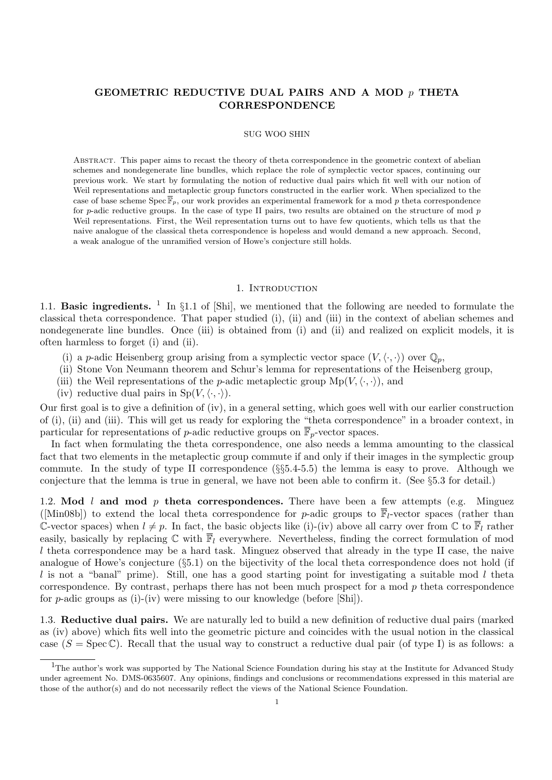## GEOMETRIC REDUCTIVE DUAL PAIRS AND A MOD p THETA **CORRESPONDENCE**

#### SUG WOO SHIN

Abstract. This paper aims to recast the theory of theta correspondence in the geometric context of abelian schemes and nondegenerate line bundles, which replace the role of symplectic vector spaces, continuing our previous work. We start by formulating the notion of reductive dual pairs which fit well with our notion of Weil representations and metaplectic group functors constructed in the earlier work. When specialized to the case of base scheme Spec  $\overline{\mathbb{F}}_p$ , our work provides an experimental framework for a mod p theta correspondence for p-adic reductive groups. In the case of type II pairs, two results are obtained on the structure of mod  $p$ Weil representations. First, the Weil representation turns out to have few quotients, which tells us that the naive analogue of the classical theta correspondence is hopeless and would demand a new approach. Second, a weak analogue of the unramified version of Howe's conjecture still holds.

## 1. INTRODUCTION

1.1. **Basic ingredients.** <sup>1</sup> In  $\S1.1$  of  $\text{[Shi]}$ , we mentioned that the following are needed to formulate the classical theta correspondence. That paper studied (i), (ii) and (iii) in the context of abelian schemes and nondegenerate line bundles. Once (iii) is obtained from (i) and (ii) and realized on explicit models, it is often harmless to forget (i) and (ii).

- (i) a p-adic Heisenberg group arising from a symplectic vector space  $(V,\langle \cdot,\cdot \rangle)$  over  $\mathbb{Q}_p$ ,
- (ii) Stone Von Neumann theorem and Schur's lemma for representations of the Heisenberg group,
- (iii) the Weil representations of the *p*-adic metaplectic group  $Mp(V, \langle \cdot, \cdot \rangle)$ , and
- (iv) reductive dual pairs in  $Sp(V,\langle \cdot,\cdot \rangle)$ .

Our first goal is to give a definition of (iv), in a general setting, which goes well with our earlier construction of (i), (ii) and (iii). This will get us ready for exploring the "theta correspondence" in a broader context, in particular for representations of p-adic reductive groups on  $\overline{\mathbb{F}}_p$ -vector spaces.

In fact when formulating the theta correspondence, one also needs a lemma amounting to the classical fact that two elements in the metaplectic group commute if and only if their images in the symplectic group commute. In the study of type II correspondence  $(\S_{5}5.4-5.5)$  the lemma is easy to prove. Although we conjecture that the lemma is true in general, we have not been able to confirm it. (See §5.3 for detail.)

1.2. Mod l and mod p theta correspondences. There have been a few attempts (e.g. Minguez ([Min08b]) to extend the local theta correspondence for p-adic groups to  $\overline{\mathbb{F}}_l$ -vector spaces (rather than C-vector spaces) when  $l \neq p$ . In fact, the basic objects like (i)-(iv) above all carry over from C to  $\overline{\mathbb{F}}_l$  rather easily, basically by replacing  $\mathbb C$  with  $\overline{\mathbb F}_l$  everywhere. Nevertheless, finding the correct formulation of mod l theta correspondence may be a hard task. Minguez observed that already in the type II case, the naive analogue of Howe's conjecture (§5.1) on the bijectivity of the local theta correspondence does not hold (if l is not a "banal" prime). Still, one has a good starting point for investigating a suitable mod l theta correspondence. By contrast, perhaps there has not been much prospect for a mod  $p$  theta correspondence for *p*-adic groups as (i)-(iv) were missing to our knowledge (before  $[\text{Shi}]$ ).

1.3. Reductive dual pairs. We are naturally led to build a new definition of reductive dual pairs (marked as (iv) above) which fits well into the geometric picture and coincides with the usual notion in the classical case ( $S = \text{Spec } \mathbb{C}$ ). Recall that the usual way to construct a reductive dual pair (of type I) is as follows: a

<sup>&</sup>lt;sup>1</sup>The author's work was supported by The National Science Foundation during his stay at the Institute for Advanced Study under agreement No. DMS-0635607. Any opinions, findings and conclusions or recommendations expressed in this material are those of the author(s) and do not necessarily reflect the views of the National Science Foundation.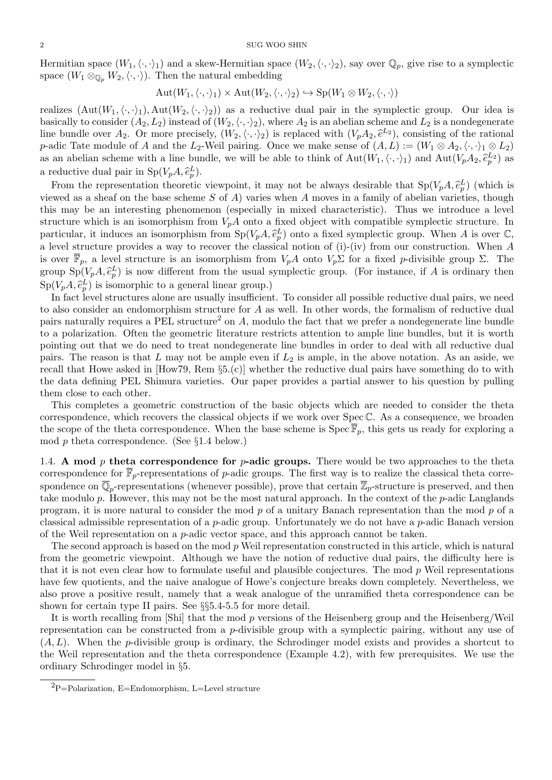Hermitian space  $(W_1,\langle\cdot,\cdot\rangle_1)$  and a skew-Hermitian space  $(W_2,\langle\cdot,\cdot\rangle_2)$ , say over  $\mathbb{Q}_p$ , give rise to a symplectic space  $(W_1 \otimes_{\mathbb{Q}_p} W_2,\langle\cdot,\cdot\rangle)$ . Then the natural embedding

$$
Aut(W_1, \langle \cdot, \cdot \rangle_1) \times Aut(W_2, \langle \cdot, \cdot \rangle_2) \hookrightarrow Sp(W_1 \otimes W_2, \langle \cdot, \cdot \rangle)
$$

realizes  $(Aut(W_1,\langle\cdot,\cdot\rangle_1), Aut(W_2,\langle\cdot,\cdot\rangle_2))$  as a reductive dual pair in the symplectic group. Our idea is basically to consider  $(A_2, L_2)$  instead of  $(W_2, \langle \cdot, \cdot \rangle_2)$ , where  $A_2$  is an abelian scheme and  $L_2$  is a nondegenerate line bundle over  $A_2$ . Or more precisely,  $(W_2, \langle \cdot, \cdot \rangle_2)$  is replaced with  $(V_pA_2, \hat{e}^{L_2})$ , consisting of the rational  $p$  odic Tate module of A and the L<sub>2</sub> Woil pairing. Once we make sense of  $(A, I) := (W_2 \otimes A_2 \wedge \$ p-adic Tate module of A and the L<sub>2</sub>-Weil pairing. Once we make sense of  $(A, L) := (W_1 \otimes A_2, \langle \cdot, \cdot \rangle_1 \otimes L_2)$ as an abelian scheme with a line bundle, we will be able to think of  $Aut(W_1, \langle \cdot, \cdot \rangle_1)$  and  $Aut(V_pA_2, \hat{e}_p^{L_2})$  as a reductive dual pair in  $Sp(V_pA, \hat{e}_p^L)$ .<br>From the proposentation theoretic

From the representation theoretic viewpoint, it may not be always desirable that  $Sp(V_pA, \hat{e}_p^L)$  (which is viewed as a sheaf on the base scheme S of A) varies when A moves in a family of abelian varieties, though this may be an interesting phenomenon (especially in mixed characteristic). Thus we introduce a level structure which is an isomorphism from  $V_pA$  onto a fixed object with compatible symplectic structure. In particular, it induces an isomorphism from  $Sp(V_pA, \hat{e}_p^L)$  onto a fixed symplectic group. When A is over  $\mathbb{C}$ , a level structure provides a way to recover the classical notion of (i)-(iv) from our construction. When A is over  $\overline{\mathbb{F}}_p$ , a level structure is an isomorphism from  $V_pA$  onto  $V_p\Sigma$  for a fixed p-divisible group  $\Sigma$ . The group  $\text{Sp}(V_pA, \hat{e}_p^L)$  is now different from the usual symplectic group. (For instance, if A is ordinary then  $\text{Sp}(V_pA, \hat{e}_p^L)$  is isomorphic to a general linear group.)<br>In fact lovel structures along are usually insufficient

In fact level structures alone are usually insufficient. To consider all possible reductive dual pairs, we need to also consider an endomorphism structure for A as well. In other words, the formalism of reductive dual pairs naturally requires a PEL structure<sup>2</sup> on A, modulo the fact that we prefer a nondegenerate line bundle to a polarization. Often the geometric literature restricts attention to ample line bundles, but it is worth pointing out that we do need to treat nondegenerate line bundles in order to deal with all reductive dual pairs. The reason is that  $L$  may not be ample even if  $L_2$  is ample, in the above notation. As an aside, we recall that Howe asked in [How79, Rem §5.(c)] whether the reductive dual pairs have something do to with the data defining PEL Shimura varieties. Our paper provides a partial answer to his question by pulling them close to each other.

This completes a geometric construction of the basic objects which are needed to consider the theta correspondence, which recovers the classical objects if we work over Spec C. As a consequence, we broaden the scope of the theta correspondence. When the base scheme is  $\text{Spec } \overline{\mathbb{F}}_p$ , this gets us ready for exploring a mod p theta correspondence. (See §1.4 below.)

1.4. A mod  $p$  theta correspondence for  $p$ -adic groups. There would be two approaches to the theta correspondence for  $\overline{\mathbb{F}}_p$ -representations of p-adic groups. The first way is to realize the classical theta correspondence on  $\overline{\mathbb{Q}}_p$ -representations (whenever possible), prove that certain  $\overline{\mathbb{Z}}_p$ -structure is preserved, and then take modulo p. However, this may not be the most natural approach. In the context of the p-adic Langlands program, it is more natural to consider the mod p of a unitary Banach representation than the mod p of a classical admissible representation of a p-adic group. Unfortunately we do not have a p-adic Banach version of the Weil representation on a p-adic vector space, and this approach cannot be taken.

The second approach is based on the mod  $p$  Weil representation constructed in this article, which is natural from the geometric viewpoint. Although we have the notion of reductive dual pairs, the difficulty here is that it is not even clear how to formulate useful and plausible conjectures. The mod  $p$  Weil representations have few quotients, and the naive analogue of Howe's conjecture breaks down completely. Nevertheless, we also prove a positive result, namely that a weak analogue of the unramified theta correspondence can be shown for certain type II pairs. See §§5.4-5.5 for more detail.

It is worth recalling from [Shi] that the mod p versions of the Heisenberg group and the Heisenberg/Weil representation can be constructed from a p-divisible group with a symplectic pairing, without any use of  $(A, L)$ . When the *p*-divisible group is ordinary, the Schrodinger model exists and provides a shortcut to the Weil representation and the theta correspondence (Example 4.2), with few prerequisites. We use the ordinary Schrodinger model in §5.

 ${}^{2}P=$ Polarization, E=Endomorphism, L=Level structure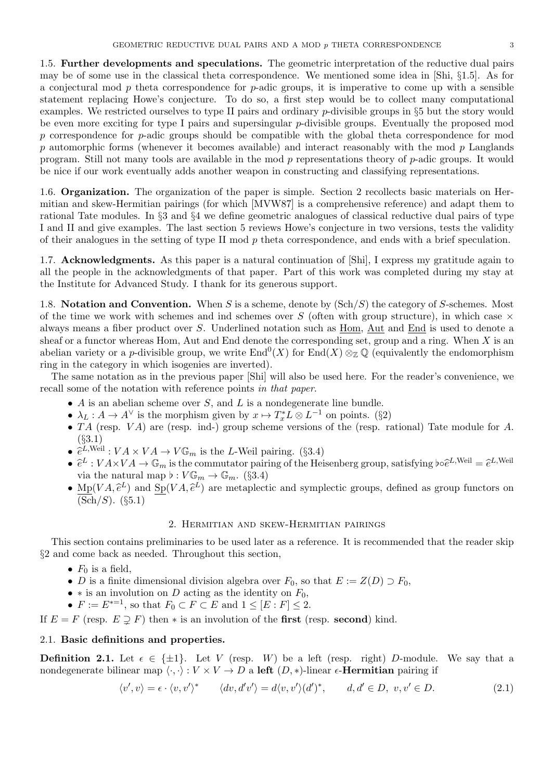1.5. Further developments and speculations. The geometric interpretation of the reductive dual pairs may be of some use in the classical theta correspondence. We mentioned some idea in [Shi, §1.5]. As for a conjectural mod  $p$  theta correspondence for  $p$ -adic groups, it is imperative to come up with a sensible statement replacing Howe's conjecture. To do so, a first step would be to collect many computational examples. We restricted ourselves to type II pairs and ordinary p-divisible groups in §5 but the story would be even more exciting for type I pairs and supersingular p-divisible groups. Eventually the proposed mod p correspondence for p-adic groups should be compatible with the global theta correspondence for mod  $p$  automorphic forms (whenever it becomes available) and interact reasonably with the mod  $p$  Langlands program. Still not many tools are available in the mod p representations theory of p-adic groups. It would be nice if our work eventually adds another weapon in constructing and classifying representations.

1.6. Organization. The organization of the paper is simple. Section 2 recollects basic materials on Hermitian and skew-Hermitian pairings (for which [MVW87] is a comprehensive reference) and adapt them to rational Tate modules. In §3 and §4 we define geometric analogues of classical reductive dual pairs of type I and II and give examples. The last section 5 reviews Howe's conjecture in two versions, tests the validity of their analogues in the setting of type II mod  $p$  theta correspondence, and ends with a brief speculation.

1.7. Acknowledgments. As this paper is a natural continuation of [Shi], I express my gratitude again to all the people in the acknowledgments of that paper. Part of this work was completed during my stay at the Institute for Advanced Study. I thank for its generous support.

1.8. Notation and Convention. When S is a scheme, denote by  $(\text{Sch}/S)$  the category of S-schemes. Most of the time we work with schemes and ind schemes over S (often with group structure), in which case  $\times$ always means a fiber product over S. Underlined notation such as Hom, Aut and End is used to denote a sheaf or a functor whereas Hom, Aut and End denote the corresponding set, group and a ring. When  $X$  is an abelian variety or a p-divisible group, we write  $\text{End}^0(X)$  for  $\text{End}(X) \otimes_{\mathbb{Z}} \mathbb{Q}$  (equivalently the endomorphism ring in the category in which isogenies are inverted).

The same notation as in the previous paper [Shi] will also be used here. For the reader's convenience, we recall some of the notation with reference points in that paper.

- $\bullet$  A is an abelian scheme over S, and L is a nondegenerate line bundle.
- $\lambda_L : A \to A^{\vee}$  is the morphism given by  $x \mapsto T_x^* L \otimes L^{-1}$  on points. (§2)
- $TA$  (resp.  $VA$ ) are (resp. ind-) group scheme versions of the (resp. rational) Tate module for  $A$ . (§3.1)
- $\hat{e}^{L,\text{Weil}}: VA \times VA \to V\mathbb{G}_m$  is the L-Weil pairing. (§3.4)
- $\hat{e}^L: V A \times V A \to \mathbb{G}_m$  is the commutator pairing of the Heisenberg group, satisfying  $\phi \hat{e}^{L,\text{Weil}} = \hat{e}^{L,\text{Weil}}$ <br>with the natural map  $\phi: V \to \mathbb{G}$  (83.4) via the natural map  $\flat : V \mathbb{G}_m \to \mathbb{G}_m$ . (§3.4)
- $M_p(VA, \hat{e}^L)$  and  $S_p(VA, \hat{e}^L)$  are metaplectic and symplectic groups, defined as group functors on  $(Sch/S)$ .  $(S5.1)$

### 2. Hermitian and skew-Hermitian pairings

This section contains preliminaries to be used later as a reference. It is recommended that the reader skip §2 and come back as needed. Throughout this section,

- $F_0$  is a field,
- D is a finite dimensional division algebra over  $F_0$ , so that  $E := Z(D) \supset F_0$ ,
- $*$  is an involution on D acting as the identity on  $F_0$ ,
- $F := E^{*-1}$ , so that  $F_0 \subset F \subset E$  and  $1 \leq [E : F] \leq 2$ .

If  $E = F$  (resp.  $E \supsetneq F$ ) then  $*$  is an involution of the **first** (resp. second) kind.

## 2.1. Basic definitions and properties.

**Definition 2.1.** Let  $\epsilon \in \{\pm 1\}$ . Let V (resp. W) be a left (resp. right) D-module. We say that a nondegenerate bilinear map  $\langle \cdot, \cdot \rangle : V \times V \to D$  a left  $(D, *)$ -linear  $\epsilon$ -**Hermitian** pairing if

$$
\langle v', v \rangle = \epsilon \cdot \langle v, v' \rangle^* \qquad \langle dv, d'v' \rangle = d\langle v, v' \rangle (d')^*, \qquad d, d' \in D, \ v, v' \in D. \tag{2.1}
$$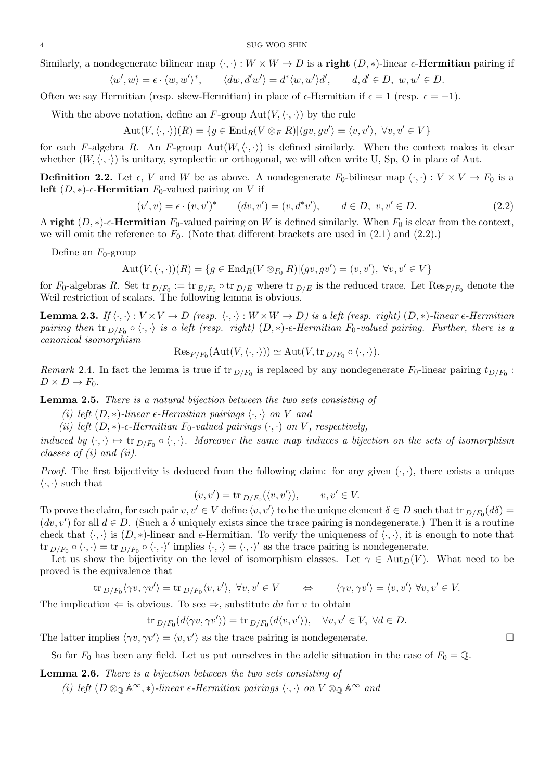4 SUG WOO SHIN

Similarly, a nondegenerate bilinear map  $\langle \cdot, \cdot \rangle : W \times W \to D$  is a right  $(D, *)$ -linear  $\epsilon$ -**Hermitian** pairing if

$$
\langle w', w \rangle = \epsilon \cdot \langle w, w' \rangle^*, \qquad \langle dw, d'w' \rangle = d^* \langle w, w' \rangle d', \qquad d, d' \in D, w, w' \in D.
$$

Often we say Hermitian (resp. skew-Hermitian) in place of  $\epsilon$ -Hermitian if  $\epsilon = 1$  (resp.  $\epsilon = -1$ ).

With the above notation, define an F-group  $Aut(V,\langle\cdot,\cdot\rangle)$  by the rule

$$
Aut(V, \langle \cdot, \cdot \rangle)(R) = \{ g \in End_R(V \otimes_F R) | \langle gv, gv' \rangle = \langle v, v' \rangle, \ \forall v, v' \in V \}
$$

for each F-algebra R. An F-group Aut $(W, \langle \cdot, \cdot \rangle)$  is defined similarly. When the context makes it clear whether  $(W, \langle \cdot, \cdot \rangle)$  is unitary, symplectic or orthogonal, we will often write U, Sp, O in place of Aut.

**Definition 2.2.** Let  $\epsilon$ , V and W be as above. A nondegenerate  $F_0$ -bilinear map  $(\cdot, \cdot) : V \times V \to F_0$  is a left  $(D, *)$ - $\epsilon$ -Hermitian  $F_0$ -valued pairing on V if

$$
(v', v) = \epsilon \cdot (v, v')^* \qquad (dv, v') = (v, d^*v'), \qquad d \in D, \ v, v' \in D.
$$
 (2.2)

A right  $(D, *)$ - $\epsilon$ -Hermitian  $F_0$ -valued pairing on W is defined similarly. When  $F_0$  is clear from the context, we will omit the reference to  $F_0$ . (Note that different brackets are used in  $(2.1)$  and  $(2.2)$ .)

Define an  $F_0$ -group

$$
Aut(V, (\cdot, \cdot))(R) = \{ g \in End_R(V \otimes_{F_0} R) | (gv, gv') = (v, v'), \ \forall v, v' \in V \}
$$

for  $F_0$ -algebras R. Set tr  $_{D/F_0} := \text{tr}_{E/F_0} \circ \text{tr}_{D/E}$  where  $\text{tr}_{D/E}$  is the reduced trace. Let  $\text{Res}_{F/F_0}$  denote the Weil restriction of scalars. The following lemma is obvious.

**Lemma 2.3.** If  $\langle \cdot, \cdot \rangle : V \times V \to D$  (resp.  $\langle \cdot, \cdot \rangle : W \times W \to D$ ) is a left (resp. right)  $(D, *)$ -linear  $\epsilon$ -Hermitian pairing then  ${\rm tr}_{D/F_0} \circ \langle \cdot, \cdot \rangle$  is a left (resp. right)  $(D, *)$ - $\epsilon$ -Hermitian  $F_0$ -valued pairing. Further, there is a canonical isomorphism

$$
\mathrm{Res}_{F/F_0}(\mathrm{Aut}(V,\langle\cdot,\cdot\rangle))\simeq \mathrm{Aut}(V,\mathrm{tr}_{D/F_0}\circ\langle\cdot,\cdot\rangle).
$$

Remark 2.4. In fact the lemma is true if tr  $D/F_0$  is replaced by any nondegenerate  $F_0$ -linear pairing  $t_{D/F_0}$ :  $D \times D \to F_0$ .

Lemma 2.5. There is a natural bijection between the two sets consisting of

- (i) left  $(D, *)$ -linear  $\epsilon$ -Hermitian pairings  $\langle \cdot, \cdot \rangle$  on V and
- (ii) left  $(D, *)$ - $\epsilon$ -Hermitian  $F_0$ -valued pairings  $(·, ·)$  on V, respectively,

induced by  $\langle \cdot, \cdot \rangle \mapsto \text{tr}_{D/F_0} \circ \langle \cdot, \cdot \rangle$ . Moreover the same map induces a bijection on the sets of isomorphism classes of (i) and (ii).

*Proof.* The first bijectivity is deduced from the following claim: for any given  $(\cdot, \cdot)$ , there exists a unique  $\langle \cdot, \cdot \rangle$  such that

$$
(v, v') = \text{tr}_{D/F_0}(\langle v, v' \rangle), \qquad v, v' \in V.
$$

To prove the claim, for each pair  $v, v' \in V$  define  $\langle v, v' \rangle$  to be the unique element  $\delta \in D$  such that tr  $D/F_0(d\delta)$  $(dv, v')$  for all  $d \in D$ . (Such a  $\delta$  uniquely exists since the trace pairing is nondegenerate.) Then it is a routine check that  $\langle \cdot, \cdot \rangle$  is  $(D, *)$ -linear and  $\epsilon$ -Hermitian. To verify the uniqueness of  $\langle \cdot, \cdot \rangle$ , it is enough to note that tr  $_{D/F_0} \circ \langle \cdot, \cdot \rangle = \text{tr}_{D/F_0} \circ \langle \cdot, \cdot \rangle'$  implies  $\langle \cdot, \cdot \rangle = \langle \cdot, \cdot \rangle'$  as the trace pairing is nondegenerate.

Let us show the bijectivity on the level of isomorphism classes. Let  $\gamma \in \text{Aut}_D(V)$ . What need to be proved is the equivalence that

$$
\operatorname{tr}_{D/F_0} \langle \gamma v, \gamma v' \rangle = \operatorname{tr}_{D/F_0} \langle v, v' \rangle, \ \forall v, v' \in V \qquad \Leftrightarrow \qquad \langle \gamma v, \gamma v' \rangle = \langle v, v' \rangle \ \forall v, v' \in V.
$$

The implication  $\Leftarrow$  is obvious. To see  $\Rightarrow$ , substitute dv for v to obtain

$$
\operatorname{tr}_{D/F_0}(d\langle \gamma v, \gamma v' \rangle) = \operatorname{tr}_{D/F_0}(d\langle v, v' \rangle), \quad \forall v, v' \in V, \ \forall d \in D.
$$

The latter implies  $\langle \gamma v, \gamma v' \rangle = \langle v, v' \rangle$  as the trace pairing is nondegenerate.

So far  $F_0$  has been any field. Let us put ourselves in the adelic situation in the case of  $F_0 = \mathbb{Q}$ .

Lemma 2.6. There is a bijection between the two sets consisting of

(i) left  $(D \otimes_{\mathbb{Q}} \mathbb{A}^{\infty}, *)$ -linear  $\epsilon$ -Hermitian pairings  $\langle \cdot, \cdot \rangle$  on  $V \otimes_{\mathbb{Q}} \mathbb{A}^{\infty}$  and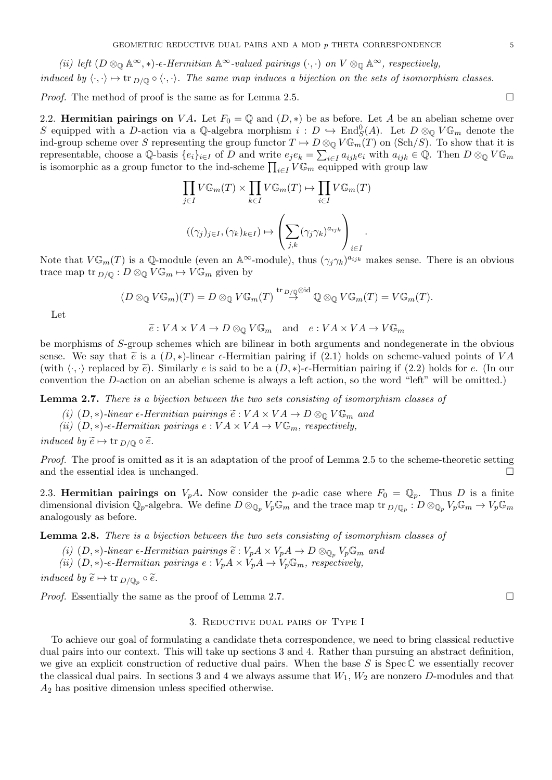(ii) left  $(D \otimes_{\mathbb{Q}} \mathbb{A}^{\infty}, *)$ - $\epsilon$ -Hermitian  $\mathbb{A}^{\infty}$ -valued pairings  $(·, ·)$  on  $V \otimes_{\mathbb{Q}} \mathbb{A}^{\infty}$ , respectively, induced by  $\langle \cdot, \cdot \rangle \mapsto \text{tr}_{D/\mathbb{Q}} \circ \langle \cdot, \cdot \rangle$ . The same map induces a bijection on the sets of isomorphism classes.

*Proof.* The method of proof is the same as for Lemma 2.5.

2.2. Hermitian pairings on VA. Let  $F_0 = \mathbb{Q}$  and  $(D, *)$  be as before. Let A be an abelian scheme over S equipped with a D-action via a Q-algebra morphism  $i: D \hookrightarrow \text{End}_{S}^{0}(A)$ . Let  $D \otimes_{\mathbb{Q}} V \mathbb{G}_{m}$  denote the ind-group scheme over S representing the group functor  $T \mapsto D \otimes_{\mathbb{Q}} V \mathbb{G}_m(T)$  on (Sch/S). To show that it is representable, choose a Q-basis  $\{e_i\}_{i\in I}$  of D and write  $e_j e_k = \sum_{i\in I} a_{ijk} e_i$  with  $a_{ijk} \in \mathbb{Q}$ . Then  $D \otimes_{\mathbb{Q}} V \mathbb{G}_m$ is isomorphic as a group functor to the ind-scheme  $\prod_{i\in I} V\mathbb{G}_m$  equipped with group law

$$
\prod_{j\in I} V\mathbb{G}_m(T) \times \prod_{k\in I} V\mathbb{G}_m(T) \mapsto \prod_{i\in I} V\mathbb{G}_m(T)
$$

$$
((\gamma_j)_{j\in I}, (\gamma_k)_{k\in I}) \mapsto \left(\sum_{j,k} (\gamma_j \gamma_k)^{a_{ijk}}\right)_{i\in I}.
$$

Note that  $V\mathbb{G}_m(T)$  is a Q-module (even an A<sup>∞</sup>-module), thus  $(\gamma_j\gamma_k)^{a_{ijk}}$  makes sense. There is an obvious trace map tr  $_{D/\mathbb{Q}} : D \otimes_{\mathbb{Q}} V \mathbb{G}_m \mapsto V \mathbb{G}_m$  given by

$$
(D \otimes_{\mathbb{Q}} V\mathbb{G}_m)(T) = D \otimes_{\mathbb{Q}} V\mathbb{G}_m(T) \stackrel{\text{tr}_{D/\mathbb{Q}} \otimes \text{id}}{\to} \mathbb{Q} \otimes_{\mathbb{Q}} V\mathbb{G}_m(T) = V\mathbb{G}_m(T).
$$

Let

$$
\widetilde{e}: VA \times VA \to D \otimes_{\mathbb{Q}} V\mathbb{G}_m \quad \text{and} \quad e: VA \times VA \to V\mathbb{G}_m
$$

be morphisms of S-group schemes which are bilinear in both arguments and nondegenerate in the obvious sense. We say that  $\tilde{e}$  is a  $(D, *)$ -linear  $\epsilon$ -Hermitian pairing if (2.1) holds on scheme-valued points of VA (with  $\langle \cdot, \cdot \rangle$  replaced by  $\tilde{e}$ ). Similarly e is said to be a  $(D, *)$ - $\epsilon$ -Hermitian pairing if (2.2) holds for e. (In our convention the D-action on an abelian scheme is always a left action, so the word "left" will be omitted.)

**Lemma 2.7.** There is a bijection between the two sets consisting of isomorphism classes of

- (i)  $(D, *)$ -linear  $\epsilon$ -Hermitian pairings  $\widetilde{e}: VA \times VA \to D \otimes_{\mathbb{Q}} V \mathbb{G}_m$  and
- (ii)  $(D, *)$ - $\epsilon$ -Hermitian pairings  $e : VA \times VA \rightarrow V\mathbb{G}_m$ , respectively,

induced by  $\widetilde{e} \mapsto \text{tr }_{D/\mathbb{Q}} \circ \widetilde{e}$ .

Proof. The proof is omitted as it is an adaptation of the proof of Lemma 2.5 to the scheme-theoretic setting and the essential idea is unchanged.

2.3. Hermitian pairings on  $V_pA$ . Now consider the p-adic case where  $F_0 = \mathbb{Q}_p$ . Thus D is a finite dimensional division  $\mathbb{Q}_p$ -algebra. We define  $D \otimes_{\mathbb{Q}_p} V_p \mathbb{G}_m$  and the trace map tr  $D/\mathbb{Q}_p : D \otimes_{\mathbb{Q}_p} V_p \mathbb{G}_m \to V_p \mathbb{G}_m$ analogously as before.

Lemma 2.8. There is a bijection between the two sets consisting of isomorphism classes of

- (i)  $(D, *)$ -linear  $\epsilon$ -Hermitian pairings  $\widetilde{e}: V_p A \times V_p A \to D \otimes_{\mathbb{Q}_p} V_p \mathbb{G}_m$  and
- (ii)  $(D, *)$ - $\epsilon$ -Hermitian pairings  $e : V_pA \times V_pA \to V_p\mathbb{G}_m$ , respectively,

induced by  $\widetilde{e} \mapsto \text{tr }_{D/\mathbb{Q}_p} \circ \widetilde{e}.$ 

*Proof.* Essentially the same as the proof of Lemma 2.7.

#### 3. Reductive dual pairs of Type I

To achieve our goal of formulating a candidate theta correspondence, we need to bring classical reductive dual pairs into our context. This will take up sections 3 and 4. Rather than pursuing an abstract definition, we give an explicit construction of reductive dual pairs. When the base  $S$  is  $Spec \mathbb{C}$  we essentially recover the classical dual pairs. In sections 3 and 4 we always assume that  $W_1, W_2$  are nonzero D-modules and that  $A_2$  has positive dimension unless specified otherwise.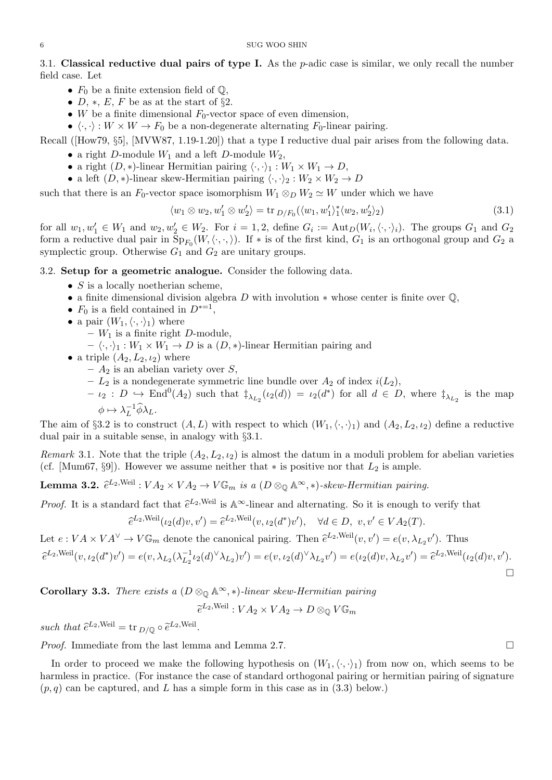3.1. Classical reductive dual pairs of type I. As the  $p$ -adic case is similar, we only recall the number field case. Let

- $F_0$  be a finite extension field of  $\mathbb{Q}$ ,
- D,  $\ast$ , E, F be as at the start of §2.
- W be a finite dimensional  $F_0$ -vector space of even dimension,
- $\langle \cdot, \cdot \rangle : W \times W \to F_0$  be a non-degenerate alternating  $F_0$ -linear pairing.

Recall ([How79, §5], [MVW87, 1.19-1.20]) that a type I reductive dual pair arises from the following data.

- a right D-module  $W_1$  and a left D-module  $W_2$ ,
- a right  $(D, *)$ -linear Hermitian pairing  $\langle \cdot, \cdot \rangle_1 : W_1 \times W_1 \to D$ ,
- a left  $(D, *)$ -linear skew-Hermitian pairing  $\langle \cdot, \cdot \rangle_2 : W_2 \times W_2 \to D$

such that there is an  $F_0$ -vector space isomorphism  $W_1 \otimes_D W_2 \simeq W$  under which we have

$$
\langle w_1 \otimes w_2, w_1' \otimes w_2' \rangle = \text{tr}_{D/F_0}(\langle w_1, w_1' \rangle_1^* \langle w_2, w_2' \rangle_2)
$$
\n(3.1)

for all  $w_1, w'_1 \in W_1$  and  $w_2, w'_2 \in W_2$ . For  $i = 1, 2$ , define  $G_i := \text{Aut}_D(W_i, \langle \cdot, \cdot \rangle_i)$ . The groups  $G_1$  and  $G_2$ form a reductive dual pair in  $\text{Sp}_{F_0}(W,\langle\cdot,\cdot,\rangle)$ . If  $*$  is of the first kind,  $G_1$  is an orthogonal group and  $G_2$  a symplectic group. Otherwise  $G_1$  and  $G_2$  are unitary groups.

3.2. Setup for a geometric analogue. Consider the following data.

- $S$  is a locally noetherian scheme,
- a finite dimensional division algebra D with involution  $*$  whose center is finite over  $\mathbb{Q}$ ,
- $F_0$  is a field contained in  $D^{*-1}$ ,
- a pair  $(W_1,\langle\cdot,\cdot\rangle_1)$  where
	- $W_1$  is a finite right D-module,
	- $-\langle \cdot, \cdot \rangle_1 : W_1 \times W_1 \to D$  is a  $(D, *)$ -linear Hermitian pairing and
- a triple  $(A_2, L_2, \iota_2)$  where
	- $A_2$  is an abelian variety over S,
	- $L_2$  is a nondegenerate symmetric line bundle over  $A_2$  of index  $i(L_2)$ ,
	- $\iota_2 : D \hookrightarrow \text{End}^0(A_2)$  such that  $\ddagger_{\lambda_{L_2}}(\iota_2(d)) = \iota_2(d^*)$  for all  $d \in D$ , where  $\ddagger_{\lambda_{L_2}}$  is the map  $\phi \mapsto \lambda_L^{-1}$  $L^{-1}\phi\lambda_L$ .

The aim of §3.2 is to construct  $(A, L)$  with respect to which  $(W_1, \langle \cdot, \cdot \rangle_1)$  and  $(A_2, L_2, \iota_2)$  define a reductive dual pair in a suitable sense, in analogy with §3.1.

Remark 3.1. Note that the triple  $(A_2, L_2, \iota_2)$  is almost the datum in a moduli problem for abelian varieties (cf. [Mum67, §9]). However we assume neither that  $*$  is positive nor that  $L_2$  is ample.

**Lemma 3.2.**  $\hat{e}^{L_2,\text{Weil}}: VA_2 \times VA_2 \to V\mathbb{G}_m$  is a  $(D \otimes_{\mathbb{Q}} \mathbb{A}^{\infty}, *)$ -skew-Hermitian pairing.

*Proof.* It is a standard fact that  $\hat{e}^{L_2,\text{Weil}}$  is  $\mathbb{A}^{\infty}$ -linear and alternating. So it is enough to verify that

$$
\widehat{e}^{L_2,\text{Weil}}(\iota_2(d)v, v') = \widehat{e}^{L_2,\text{Weil}}(v, \iota_2(d^*)v'), \quad \forall d \in D, \ v, v' \in VA_2(T).
$$

Let  $e: VA \times VA^{\vee} \to V\mathbb{G}_m$  denote the canonical pairing. Then  $\hat{e}^{L_2,\text{Weil}}(v, v') = e(v, \lambda_{L_2} v')$ . Thus

$$
\hat{e}^{L_2, \text{Weil}}(v, \iota_2(d^*)v') = e(v, \lambda_{L_2}(\lambda_{L_2}^{-1}\iota_2(d)^\vee \lambda_{L_2})v') = e(v, \iota_2(d)^\vee \lambda_{L_2}v') = e(\iota_2(d)v, \lambda_{L_2}v') = \hat{e}^{L_2, \text{Weil}}(\iota_2(d)v, v').
$$

Corollary 3.3. There exists a  $(D \otimes_{\mathbb{Q}} \mathbb{A}^{\infty}, *)$ -linear skew-Hermitian pairing

 $\widetilde{e}^{L_2,\text{Weil}}:VA_2\times VA_2\to D\otimes_{\mathbb{Q}} V\mathbb{G}_m$ 

such that  $\hat{e}^{L_2,\text{Weil}} = \text{tr}_{D/\mathbb{Q}} \circ \tilde{e}^{L_2,\text{Weil}}.$ 

*Proof.* Immediate from the last lemma and Lemma 2.7.

In order to proceed we make the following hypothesis on  $(W_1,\langle\cdot,\cdot\rangle_1)$  from now on, which seems to be harmless in practice. (For instance the case of standard orthogonal pairing or hermitian pairing of signature  $(p, q)$  can be captured, and L has a simple form in this case as in (3.3) below.)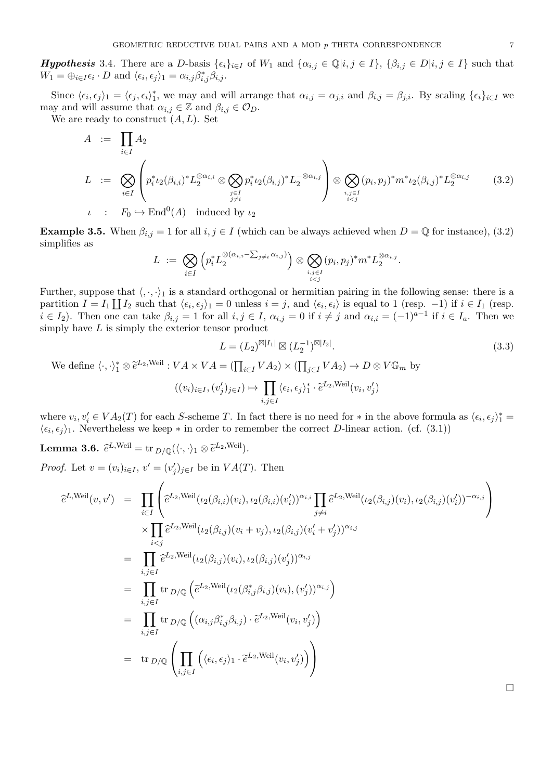**Hypothesis** 3.4. There are a D-basis  $\{\epsilon_i\}_{i\in I}$  of  $W_1$  and  $\{\alpha_{i,j}\in\mathbb{Q}|i,j\in I\}$ ,  $\{\beta_{i,j}\in D|i,j\in I\}$  such that  $W_1 = \bigoplus_{i \in I} \epsilon_i \cdot D$  and  $\langle \epsilon_i, \epsilon_j \rangle_1 = \alpha_{i,j} \beta_{i,j}^* \beta_{i,j}.$ 

Since  $\langle \epsilon_i, \epsilon_j \rangle_1 = \langle \epsilon_j, \epsilon_i \rangle_1^*$ , we may and will arrange that  $\alpha_{i,j} = \alpha_{j,i}$  and  $\beta_{i,j} = \beta_{j,i}$ . By scaling  $\{\epsilon_i\}_{i \in I}$  we may and will assume that  $\alpha_{i,j} \in \mathbb{Z}$  and  $\beta_{i,j} \in \mathcal{O}_D$ .

We are ready to construct  $(A, L)$ . Set

$$
A := \prod_{i \in I} A_2
$$
  
\n
$$
L := \bigotimes_{i \in I} \left( p_i^* \iota_2(\beta_{i,i})^* L_2^{\otimes \alpha_{i,i}} \otimes \bigotimes_{j \in I \atop j \neq i} p_i^* \iota_2(\beta_{i,j})^* L_2^{-\otimes \alpha_{i,j}} \right) \otimes \bigotimes_{i,j \in I \atop i < j} (p_i, p_j)^* m^* \iota_2(\beta_{i,j})^* L_2^{\otimes \alpha_{i,j}} \qquad (3.2)
$$
  
\n
$$
\iota : F_0 \hookrightarrow \text{End}^0(A) \text{ induced by } \iota_2
$$

**Example 3.5.** When  $\beta_{i,j} = 1$  for all  $i, j \in I$  (which can be always achieved when  $D = \mathbb{Q}$  for instance), (3.2) simplifies as

$$
L \; := \; \bigotimes_{i \in I} \Big( p_i^* L_2^{\otimes (\alpha_{i,i} - \sum_{j \neq i} \alpha_{i,j})} \Big) \otimes \bigotimes_{i,j \in I \atop i < j} (p_i,p_j)^* m^* L_2^{\otimes \alpha_{i,j}}.
$$

Further, suppose that  $\langle \cdot, \cdot \rangle_1$  is a standard orthogonal or hermitian pairing in the following sense: there is a partition  $I = I_1 \coprod I_2$  such that  $\langle \epsilon_i, \epsilon_j \rangle_1 = 0$  unless  $i = j$ , and  $\langle \epsilon_i, \epsilon_i \rangle$  is equal to 1 (resp. -1) if  $i \in I_1$  (resp.  $i \in I_2$ ). Then one can take  $\beta_{i,j} = 1$  for all  $i, j \in I$ ,  $\alpha_{i,j} = 0$  if  $i \neq j$  and  $\alpha_{i,i} = (-1)^{a-1}$  if  $i \in I_a$ . Then we simply have  $L$  is simply the exterior tensor product

$$
L = (L_2)^{\boxtimes |I_1|} \boxtimes (L_2^{-1})^{\boxtimes |I_2|}.
$$
\n(3.3)

We define  $\langle \cdot, \cdot \rangle_1^* \otimes \tilde{e}^{L_2,\text{Weil}} : VA \times VA = (\prod_{i \in I} VA_2) \times (\prod_{j \in I} VA_2) \to D \otimes V\mathbb{G}_m$  by

$$
((v_i)_{i \in I}, (v'_j)_{j \in I}) \mapsto \prod_{i,j \in I} \langle \epsilon_i, \epsilon_j \rangle_1^* \cdot \widetilde{e}^{L_2, \text{Weil}}(v_i, v'_j)
$$

where  $v_i, v'_i \in VA_2(T)$  for each S-scheme T. In fact there is no need for  $*$  in the above formula as  $\langle \epsilon_i, \epsilon_j \rangle_1^* =$  $\langle \epsilon_i, \epsilon_j \rangle$ . Nevertheless we keep  $*$  in order to remember the correct D-linear action. (cf. (3.1))

Lemma 3.6.  $\widehat{e}^{L,\mathrm{Weil}} = \mathrm{tr}_{D/\mathbb{Q}}(\langle \cdot, \cdot \rangle_1 \otimes \widetilde{e}^{L_2,\mathrm{Weil}}).$ 

*Proof.* Let  $v = (v_i)_{i \in I}$ ,  $v' = (v'_j)_{j \in I}$  be in  $VA(T)$ . Then

$$
\begin{split}\n\hat{e}^{L, \text{Weil}}(v, v') &= \prod_{i \in I} \left( \hat{e}^{L_2, \text{Weil}}(\iota_2(\beta_{i,i})(v_i), \iota_2(\beta_{i,i})(v_i'))^{\alpha_{i,i}} \prod_{j \neq i} \hat{e}^{L_2, \text{Weil}}(\iota_2(\beta_{i,j})(v_i), \iota_2(\beta_{i,j})(v_i'))^{-\alpha_{i,j}} \right) \\
&\times \prod_{i < j} \hat{e}^{L_2, \text{Weil}}(\iota_2(\beta_{i,j})(v_i + v_j), \iota_2(\beta_{i,j})(v_i' + v_j'))^{\alpha_{i,j}} \\
&= \prod_{i,j \in I} \hat{e}^{L_2, \text{Weil}}(\iota_2(\beta_{i,j})(v_i), \iota_2(\beta_{i,j})(v_j'))^{\alpha_{i,j}} \\
&= \prod_{i,j \in I} \text{tr}_{D/\mathbb{Q}} \left( \tilde{e}^{L_2, \text{Weil}}(\iota_2(\beta_{i,j}^*\beta_{i,j})(v_i), (v_j'))^{\alpha_{i,j}} \right) \\
&= \prod_{i,j \in I} \text{tr}_{D/\mathbb{Q}} \left( (\alpha_{i,j}\beta_{i,j}^*\beta_{i,j}) \cdot \tilde{e}^{L_2, \text{Weil}}(v_i, v_j') \right) \\
&= \text{tr}_{D/\mathbb{Q}} \left( \prod_{i,j \in I} \left( \langle \epsilon_i, \epsilon_j \rangle_1 \cdot \tilde{e}^{L_2, \text{Weil}}(v_i, v_j') \right) \right)\n\end{split}
$$

 $\Box$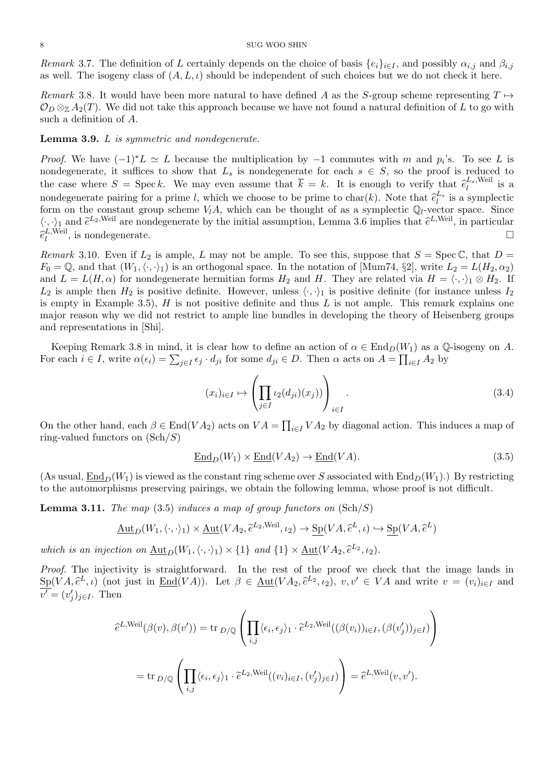Remark 3.7. The definition of L certainly depends on the choice of basis  $\{e_i\}_{i\in I}$ , and possibly  $\alpha_{i,j}$  and  $\beta_{i,j}$ as well. The isogeny class of  $(A, L, \iota)$  should be independent of such choices but we do not check it here.

Remark 3.8. It would have been more natural to have defined A as the S-group scheme representing  $T \mapsto$  $\mathcal{O}_D \otimes_{\mathbb{Z}} A_2(T)$ . We did not take this approach because we have not found a natural definition of L to go with such a definition of A.

#### Lemma 3.9. L is symmetric and nondegenerate.

*Proof.* We have  $(-1)^*L \simeq L$  because the multiplication by  $-1$  commutes with m and  $p_i$ 's. To see L is nondegenerate, it suffices to show that  $L_s$  is nondegenerate for each  $s \in S$ , so the proof is reduced to the case where  $S = \text{Spec } k$ . We may even assume that  $\overline{k} = k$ . It is enough to verify that  $\hat{e}_l^{L_s, \text{Weil}}$  $\frac{\mu_s, \text{well}}{l}$  is a nondegenerate pairing for a prime l, which we choose to be prime to char(k). Note that  $\hat{e}_l^{L_s}$  is a symplectic<br>form on the constant group scheme  $V_s A$ , which can be thought of as a symplectic Ouvector space. Since form on the constant group scheme  $V_lA$ , which can be thought of as a symplectic  $\mathbb{Q}_l$ -vector space. Since  $\langle \cdot, \cdot \rangle_1$  and  $\tilde{e}^{L_2,\text{Weil}}$  are nondegenerate by the initial assumption, Lemma 3.6 implies that  $\hat{e}^{L,\text{Weil}}$ , in particular  $\tilde{e}^{L,\text{Weil}}$ , in particular  $\widehat{e}_{l}^{L,\mathrm{Weil}}$  $\mathcal{L}^{\text{1}}$ , is nondegenerate.

Remark 3.10. Even if  $L_2$  is ample, L may not be ample. To see this, suppose that  $S = \text{Spec } \mathbb{C}$ , that  $D =$  $F_0 = \mathbb{Q}$ , and that  $(W_1,\langle\cdot,\cdot\rangle_1)$  is an orthogonal space. In the notation of [Mum74, §2], write  $L_2 = L(H_2, \alpha_2)$ and  $L = L(H, \alpha)$  for nondegenerate hermitian forms  $H_2$  and H. They are related via  $H = \langle \cdot, \cdot \rangle_1 \otimes H_2$ . If  $L_2$  is ample then  $H_2$  is positive definite. However, unless  $\langle \cdot, \cdot \rangle_1$  is positive definite (for instance unless  $I_2$ is empty in Example 3.5),  $H$  is not positive definite and thus  $L$  is not ample. This remark explains one major reason why we did not restrict to ample line bundles in developing the theory of Heisenberg groups and representations in [Shi].

Keeping Remark 3.8 in mind, it is clear how to define an action of  $\alpha \in \text{End}_D(W_1)$  as a Q-isogeny on A. For each  $i \in I$ , write  $\alpha(\epsilon_i) = \sum_{j \in I} \epsilon_j \cdot d_{ji}$  for some  $d_{ji} \in D$ . Then  $\alpha$  acts on  $A = \prod_{i \in I} A_2$  by

$$
(x_i)_{i \in I} \mapsto \left(\prod_{j \in I} \iota_2(d_{ji})(x_j))\right)_{i \in I}.
$$
\n(3.4)

On the other hand, each  $\beta \in \text{End}(VA_2)$  acts on  $VA = \prod_{i \in I} VA_2$  by diagonal action. This induces a map of ring-valued functors on  $(\text{Sch}/S)$ 

$$
\underline{\text{End}}_D(W_1) \times \underline{\text{End}}(VA_2) \to \underline{\text{End}}(VA). \tag{3.5}
$$

(As usual,  $\underline{\text{End}}_D(W_1)$  is viewed as the constant ring scheme over S associated with  $\text{End}_D(W_1)$ .) By restricting to the automorphisms preserving pairings, we obtain the following lemma, whose proof is not difficult.

**Lemma 3.11.** The map (3.5) induces a map of group functors on  $(\text{Sch}/S)$ 

$$
\underline{\mathrm{Aut}}_D(W_1, \langle \cdot, \cdot \rangle_1) \times \underline{\mathrm{Aut}}(VA_2, \tilde{e}^{L_2, \text{Weil}}, \iota_2) \to \underline{\mathrm{Sp}}(VA, \tilde{e}^L, \iota) \hookrightarrow \underline{\mathrm{Sp}}(VA, \tilde{e}^L)
$$

which is an injection on  $\underline{\text{Aut}}_D(W_1,\langle\cdot,\cdot\rangle_1)\times\{1\}$  and  $\{1\}\times\underline{\text{Aut}}(VA_2,\hat{e}^{L_2},\iota_2).$ 

Proof. The injectivity is straightforward. In the rest of the proof we check that the image lands in  $\frac{\text{Sp}(VA, \hat{e}^L, \iota)}{\sigma' = (v')}, \text{ not just in } \underline{\text{End}}(VA).$  Let  $\beta \in \underline{\text{Aut}}(VA_2, \hat{e}^{L_2}, \iota_2), v, v' \in VA$  and write  $v = (v_i)_{i \in I}$  and  $\overline{v'} = (v'_j)_{j \in I}$ . Then

$$
\begin{split} \hat{e}^{L, \text{Weil}}(\beta(v), \beta(v')) &= \text{tr}_{D/\mathbb{Q}}\left(\prod_{i,j} \langle \epsilon_i, \epsilon_j \rangle_1 \cdot \tilde{e}^{L_2, \text{Weil}}((\beta(v_i))_{i \in I}, (\beta(v'_j))_{j \in I})\right) \\ &= \text{tr}_{D/\mathbb{Q}}\left(\prod_{i,j} \langle \epsilon_i, \epsilon_j \rangle_1 \cdot \tilde{e}^{L_2, \text{Weil}}((v_i)_{i \in I}, (v'_j)_{j \in I})\right) = \hat{e}^{L, \text{Weil}}(v, v'). \end{split}
$$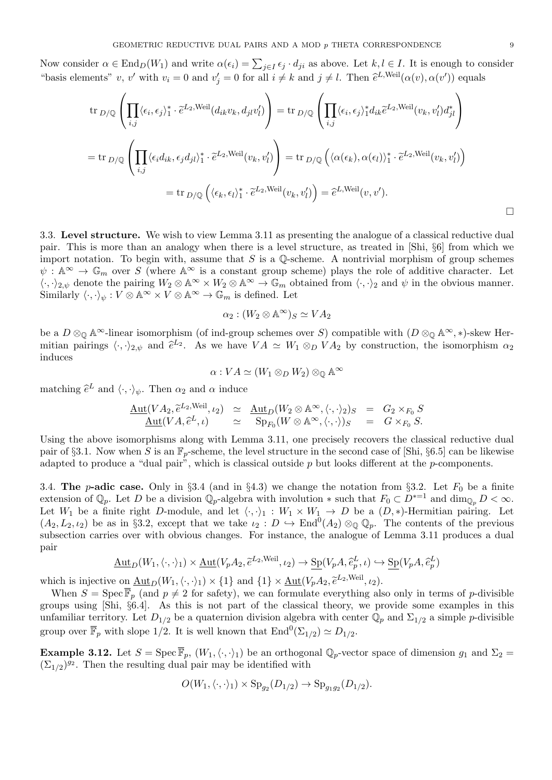Now consider  $\alpha \in \text{End}_D(W_1)$  and write  $\alpha(\epsilon_i) = \sum_{j \in I} \epsilon_j \cdot d_{ji}$  as above. Let  $k, l \in I$ . It is enough to consider "basis elements" v, v' with  $v_i = 0$  and  $v'_j = 0$  for all  $i \neq k$  and  $j \neq l$ . Then  $\hat{e}^{L,\text{Weil}}(\alpha(v), \alpha(v'))$  equals

$$
\operatorname{tr}_{D/\mathbb{Q}}\left(\prod_{i,j}\langle\epsilon_i,\epsilon_j\rangle_1^*\cdot\tilde{e}^{L_2,\text{Weil}}(d_{ik}v_k,d_{jl}v'_l)\right) = \operatorname{tr}_{D/\mathbb{Q}}\left(\prod_{i,j}\langle\epsilon_i,\epsilon_j\rangle_1^*d_{ik}\tilde{e}^{L_2,\text{Weil}}(v_k,v'_l)d_{jl}^*\right)
$$
\n
$$
= \operatorname{tr}_{D/\mathbb{Q}}\left(\prod_{i,j}\langle\epsilon_id_{ik},\epsilon_jd_{jl}\rangle_1^*\cdot\tilde{e}^{L_2,\text{Weil}}(v_k,v'_l)\right) = \operatorname{tr}_{D/\mathbb{Q}}\left(\langle\alpha(\epsilon_k),\alpha(\epsilon_l)\rangle_1^*\cdot\tilde{e}^{L_2,\text{Weil}}(v_k,v'_l)\right)
$$
\n
$$
= \operatorname{tr}_{D/\mathbb{Q}}\left(\langle\epsilon_k,\epsilon_l\rangle_1^*\cdot\tilde{e}^{L_2,\text{Weil}}(v_k,v'_l)\right) = \tilde{e}^{L,\text{Weil}}(v,v').
$$

3.3. Level structure. We wish to view Lemma 3.11 as presenting the analogue of a classical reductive dual pair. This is more than an analogy when there is a level structure, as treated in [Shi, §6] from which we import notation. To begin with, assume that  $S$  is a  $\mathbb Q$ -scheme. A nontrivial morphism of group schemes  $\psi: \mathbb{A}^{\infty} \to \mathbb{G}_m$  over S (where  $\mathbb{A}^{\infty}$  is a constant group scheme) plays the role of additive character. Let  $\langle \cdot, \cdot \rangle_{2,\psi}$  denote the pairing  $W_2 \otimes \mathbb{A}^{\infty} \times W_2 \otimes \mathbb{A}^{\infty} \to \mathbb{G}_m$  obtained from  $\langle \cdot, \cdot \rangle_2$  and  $\psi$  in the obvious manner. Similarly  $\langle \cdot, \cdot \rangle_{\psi} : V \otimes \mathbb{A}^{\infty} \times V \otimes \mathbb{A}^{\infty} \to \mathbb{G}_m$  is defined. Let

$$
\alpha_2:(W_2\otimes \mathbb{A}^\infty)_S\simeq VA_2
$$

be a  $D \otimes_{\mathbb{Q}} \mathbb{A}^{\infty}$ -linear isomorphism (of ind-group schemes over S) compatible with  $(D \otimes_{\mathbb{Q}} \mathbb{A}^{\infty}, *)$ -skew Hermitian pairings  $\langle \cdot, \cdot \rangle_{2,\psi}$  and  $\hat{e}^{L_2}$ . As we have  $VA \simeq W_1 \otimes_D VA_2$  by construction, the isomorphism  $\alpha_2$ induces

$$
\alpha: VA \simeq (W_1 \otimes_D W_2) \otimes_{\mathbb{Q}} \mathbb{A}^{\infty}
$$

matching  $\hat{e}^L$  and  $\langle \cdot, \cdot \rangle_{\psi}$ . Then  $\alpha_2$  and  $\alpha$  induce

$$
\frac{\mathrm{Aut}(VA_2, \tilde{e}^{L_2, \text{Weil}}, \iota_2)}{\mathrm{Aut}(VA, \tilde{e}^{L}, \iota)} \simeq \frac{\mathrm{Aut}_D(W_2 \otimes \mathbb{A}^{\infty}, \langle \cdot, \cdot \rangle_2)_S = G_2 \times_{F_0} S}{\mathrm{Sp}_{F_0}(W \otimes \mathbb{A}^{\infty}, \langle \cdot, \cdot \rangle)_S} = G \times_{F_0} S.
$$

Using the above isomorphisms along with Lemma 3.11, one precisely recovers the classical reductive dual pair of §3.1. Now when S is an  $\mathbb{F}_p$ -scheme, the level structure in the second case of [Shi, §6.5] can be likewise adapted to produce a "dual pair", which is classical outside  $p$  but looks different at the  $p$ -components.

3.4. The p-adic case. Only in §3.4 (and in §4.3) we change the notation from §3.2. Let  $F_0$  be a finite extension of  $\mathbb{Q}_p$ . Let D be a division  $\mathbb{Q}_p$ -algebra with involution  $*$  such that  $F_0 \subset D^{*-1}$  and  $\dim_{\mathbb{Q}_p} D < \infty$ . Let  $W_1$  be a finite right D-module, and let  $\langle \cdot, \cdot \rangle_1 : W_1 \times W_1 \to D$  be a  $(D, *)$ -Hermitian pairing. Let  $(A_2, L_2, \iota_2)$  be as in §3.2, except that we take  $\iota_2 : D \hookrightarrow \text{End}^0(A_2) \otimes_{\mathbb{Q}} \mathbb{Q}_p$ . The contents of the previous subsection carries over with obvious changes. For instance, the analogue of Lemma 3.11 produces a dual pair

$$
\underline{\mathrm{Aut}}_D(W_1, \langle \cdot, \cdot \rangle_1) \times \underline{\mathrm{Aut}}(V_p A_2, \tilde{e}^{L_2, \text{Weil}}, \iota_2) \to \underline{\mathrm{Sp}}(V_p A, \tilde{e}_p^L, \iota) \hookrightarrow \underline{\mathrm{Sp}}(V_p A, \tilde{e}_p^L)
$$

which is injective on  $\underline{\text{Aut}}_D(W_1,\langle\cdot,\cdot\rangle_1)\times\{1\}$  and  $\{1\}\times\underline{\text{Aut}}(V_pA_2,\tilde{e}^{L_2,\text{Weil}},\iota_2).$ <br>When  $\underline{S}$  are  $\overline{\mathbb{R}}$  (and  $\underline{S}$  (2) for a<br>form sother) we can formulate expecting all

When  $S = \text{Spec } \overline{\mathbb{F}}_p$  (and  $p \neq 2$  for safety), we can formulate everything also only in terms of p-divisible groups using [Shi, §6.4]. As this is not part of the classical theory, we provide some examples in this unfamiliar territory. Let  $D_{1/2}$  be a quaternion division algebra with center  $\mathbb{Q}_p$  and  $\Sigma_{1/2}$  a simple p-divisible group over  $\overline{\mathbb{F}}_p$  with slope 1/2. It is well known that  $\text{End}^0(\Sigma_{1/2}) \simeq D_{1/2}$ .

**Example 3.12.** Let  $S = \text{Spec } \overline{\mathbb{F}}_p$ ,  $(W_1,\langle\cdot,\cdot\rangle_1)$  be an orthogonal  $\mathbb{Q}_p$ -vector space of dimension  $g_1$  and  $\Sigma_2$  $(\Sigma_{1/2})^{g_2}$ . Then the resulting dual pair may be identified with

$$
O(W_1, \langle \cdot, \cdot \rangle_1) \times \mathrm{Sp}_{g_2}(D_{1/2}) \to \mathrm{Sp}_{g_1g_2}(D_{1/2}).
$$

 $\Box$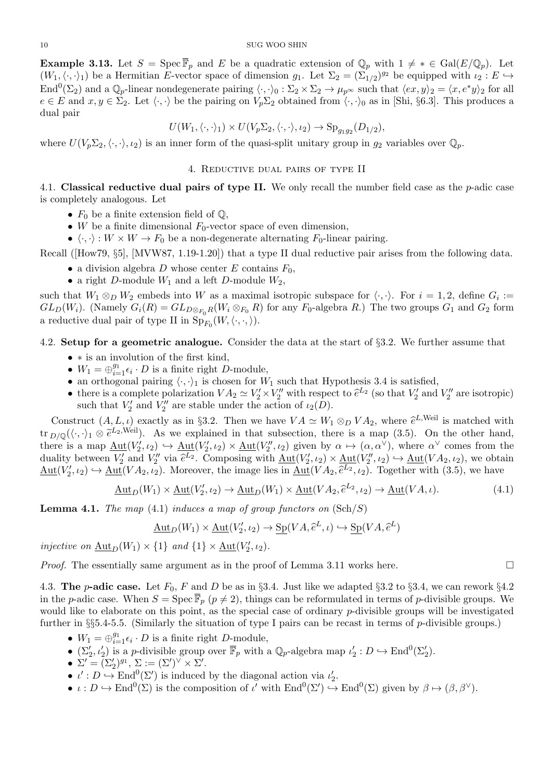**Example 3.13.** Let  $S = \text{Spec } \overline{\mathbb{F}}_p$  and E be a quadratic extension of  $\mathbb{Q}_p$  with  $1 \neq * \in \text{Gal}(E/\mathbb{Q}_p)$ . Let  $(W_1,\langle\cdot,\cdot\rangle_1)$  be a Hermitian E-vector space of dimension  $g_1$ . Let  $\Sigma_2 = (\Sigma_{1/2})^{g_2}$  be equipped with  $\iota_2 : E \hookrightarrow$ End<sup>0</sup>( $\Sigma_2$ ) and a  $\mathbb{Q}_p$ -linear nondegenerate pairing  $\langle \cdot, \cdot \rangle_0 : \Sigma_2 \times \Sigma_2 \to \mu_{p^{\infty}}$  such that  $\langle ex, y \rangle_2 = \langle x, e^*y \rangle_2$  for all  $e \in E$  and  $x, y \in \Sigma_2$ . Let  $\langle \cdot, \cdot \rangle$  be the pairing on  $V_p \Sigma_2$  obtained from  $\langle \cdot, \cdot \rangle_0$  as in [Shi, §6.3]. This produces a dual pair

$$
U(W_1, \langle \cdot, \cdot \rangle_1) \times U(V_p \Sigma_2, \langle \cdot, \cdot \rangle_1, \iota_2) \to \mathrm{Sp}_{g_1g_2}(D_{1/2}),
$$

where  $U(V_p\Sigma_2,\langle\cdot,\cdot\rangle,\iota_2)$  is an inner form of the quasi-split unitary group in  $g_2$  variables over  $\mathbb{Q}_p$ .

## 4. Reductive dual pairs of type II

4.1. Classical reductive dual pairs of type II. We only recall the number field case as the  $p$ -adic case is completely analogous. Let

- $F_0$  be a finite extension field of  $\mathbb{Q}$ ,
- W be a finite dimensional  $F_0$ -vector space of even dimension,
- $\langle \cdot, \cdot \rangle : W \times W \to F_0$  be a non-degenerate alternating  $F_0$ -linear pairing.

Recall ([How79, §5], [MVW87, 1.19-1.20]) that a type II dual reductive pair arises from the following data.

- a division algebra D whose center E contains  $F_0$ ,
- a right D-module  $W_1$  and a left D-module  $W_2$ ,

such that  $W_1 \otimes_D W_2$  embeds into W as a maximal isotropic subspace for  $\langle \cdot, \cdot \rangle$ . For  $i = 1, 2$ , define  $G_i :=$  $GL_D(W_i)$ . (Namely  $G_i(R) = GL_{D \otimes_{F_i} R}(W_i \otimes_{F_i} R)$  for any  $F_0$ -algebra R.) The two groups  $G_1$  and  $G_2$  form a reductive dual pair of type II in  $\text{Sp}_{F_0}(W,\langle\cdot,\cdot,\rangle)$ .

4.2. Setup for a geometric analogue. Consider the data at the start of §3.2. We further assume that

- ∗ is an involution of the first kind,
- $W_1 = \bigoplus_{i=1}^{g_1} \epsilon_i \cdot D$  is a finite right D-module,
- an orthogonal pairing  $\langle \cdot, \cdot \rangle_1$  is chosen for  $W_1$  such that Hypothesis 3.4 is satisfied,
- there is a complete polarization  $VA_2 \simeq V_2' \times V_2''$  with respect to  $\hat{e}^{L_2}$  (so that  $V_2'$  and  $V_2''$  are isotropic)<br>such that  $V_2'$  and  $V_2''$  are stable under the action of  $\iota_2(D)$ . such that  $V_2'$  and  $V_2''$  are stable under the action of  $\iota_2(D)$ .

Construct  $(A, L, \iota)$  exactly as in §3.2. Then we have  $VA \simeq W_1 \otimes_D VA_2$ , where  $\hat{e}^{L,\text{Weil}}$  is matched with tr  $_{D/\mathbb{Q}}(\langle \cdot, \cdot \rangle_1 \otimes \tilde{e}^{L_2,\text{Weil}})$ . As we explained in that subsection, there is a map (3.5). On the other hand, there is a map  $\underline{\mathrm{Aut}}(V_2',\iota_2) \hookrightarrow \underline{\mathrm{Aut}}(V_2',\iota_2) \times \underline{\mathrm{Aut}}(V_2'',\iota_2)$  given by  $\alpha \mapsto (\alpha,\alpha^{\vee})$ , where  $\alpha^{\vee}$  comes from the duality between  $V_2'$  and  $V_2''$  via  $\hat{e}^{L_2}$ . Composing with  $\underline{\mathrm{Aut}}(V_2', \iota_2) \times \underline{\mathrm{Aut}}(V_2'', \iota_2) \hookrightarrow \underline{\mathrm{Aut}}(VA_2, \iota_2),$  we obtain  $\underline{\mathrm{Aut}}(V_2',\iota_2) \hookrightarrow \underline{\mathrm{Aut}}(VA_2,\iota_2)$ . Moreover, the image lies in  $\underline{\mathrm{Aut}}(VA_2,\hat{e}^{L_2},\iota_2)$ . Together with (3.5), we have

$$
\underline{\mathrm{Aut}}_D(W_1) \times \underline{\mathrm{Aut}}(V_2', \iota_2) \to \underline{\mathrm{Aut}}_D(W_1) \times \underline{\mathrm{Aut}}(VA_2, \widehat{e}^{L_2}, \iota_2) \to \underline{\mathrm{Aut}}(VA, \iota). \tag{4.1}
$$

**Lemma 4.1.** The map (4.1) induces a map of group functors on  $(\text{Sch}/S)$ 

$$
\underline{\mathrm{Aut}}_D(W_1) \times \underline{\mathrm{Aut}}(V'_2, \iota_2) \to \underline{\mathrm{Sp}}(VA, \hat{e}^L, \iota) \hookrightarrow \underline{\mathrm{Sp}}(VA, \hat{e}^L)
$$

injective on  $\underline{\text{Aut}}_D(W_1) \times \{1\}$  and  $\{1\} \times \underline{\text{Aut}}(V'_2, \iota_2)$ .

*Proof.* The essentially same argument as in the proof of Lemma 3.11 works here.

4.3. The *p*-adic case. Let  $F_0$ , F and D be as in §3.4. Just like we adapted §3.2 to §3.4, we can rework §4.2 in the p-adic case. When  $S = \text{Spec } \overline{\mathbb{F}}_p$  ( $p \neq 2$ ), things can be reformulated in terms of p-divisible groups. We would like to elaborate on this point, as the special case of ordinary p-divisible groups will be investigated further in §§5.4-5.5. (Similarly the situation of type I pairs can be recast in terms of p-divisible groups.)

- $W_1 = \bigoplus_{i=1}^{g_1} \epsilon_i \cdot D$  is a finite right D-module,
- $(\Sigma_2', \iota_2')$  is a *p*-divisible group over  $\overline{\mathbb{F}}_p$  with a  $\mathbb{Q}_p$ -algebra map  $\iota_2' : D \hookrightarrow \text{End}^0(\Sigma_2').$
- $\Sigma' = (\Sigma_2')^{g_1}, \Sigma := (\Sigma')^{\vee} \times \Sigma'.$
- $\iota' : D \hookrightarrow \text{End}^0(\Sigma')$  is induced by the diagonal action via  $\iota'_2$ .
- $\iota: D \hookrightarrow \text{End}^0(\Sigma)$  is the composition of  $\iota'$  with  $\text{End}^0(\Sigma') \hookrightarrow \text{End}^0(\Sigma)$  given by  $\beta \mapsto (\beta, \beta^{\vee})$ .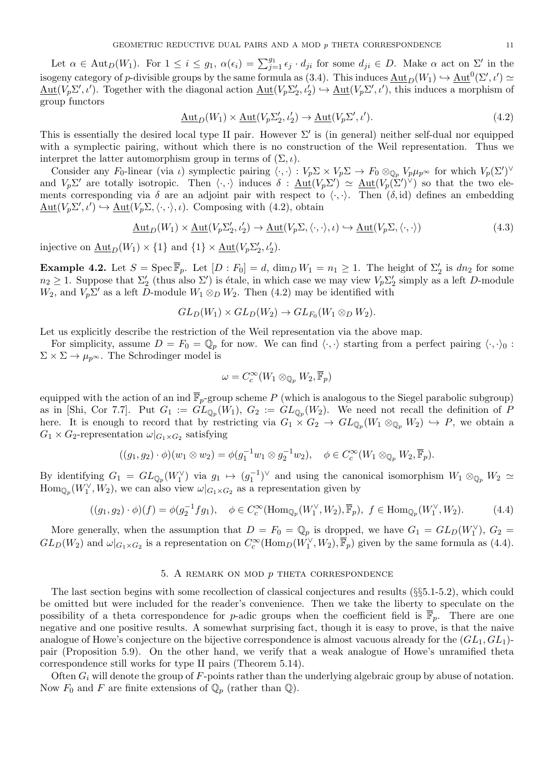Let  $\alpha \in \text{Aut}_D(W_1)$ . For  $1 \leq i \leq g_1$ ,  $\alpha(\epsilon_i) = \sum_{j=1}^{g_1} \epsilon_j \cdot d_{ji}$  for some  $d_{ji} \in D$ . Make  $\alpha$  act on  $\Sigma'$  in the isogeny category of p-divisible groups by the same formula as  $(3.4)$ . This induces  $\underline{\mathrm{Aut}}_D(W_1) \hookrightarrow \underline{\mathrm{Aut}}^0(\Sigma', \iota') \simeq$  $\underline{\mathrm{Aut}}(V_p \Sigma', \iota')$ . Together with the diagonal action  $\underline{\mathrm{Aut}}(V_p \Sigma'_2, \iota'_2) \hookrightarrow \underline{\mathrm{Aut}}(V_p \Sigma', \iota')$ , this induces a morphism of group functors

$$
\underline{\mathrm{Aut}}_D(W_1) \times \underline{\mathrm{Aut}}(V_p \Sigma_2', \iota_2') \to \underline{\mathrm{Aut}}(V_p \Sigma', \iota'). \tag{4.2}
$$

This is essentially the desired local type II pair. However  $\Sigma'$  is (in general) neither self-dual nor equipped with a symplectic pairing, without which there is no construction of the Weil representation. Thus we interpret the latter automorphism group in terms of  $(\Sigma, \iota)$ .

Consider any F<sub>0</sub>-linear (via *ι*) symplectic pairing  $\langle \cdot, \cdot \rangle : V_p \Sigma \times V_p \Sigma \to F_0 \otimes_{\mathbb{Q}_p} V_p \mu_{p^{\infty}}$  for which  $V_p(\Sigma')^{\vee}$ and  $V_p \Sigma'$  are totally isotropic. Then  $\langle \cdot, \cdot \rangle$  induces  $\delta : \underline{\text{Aut}}(V_p \Sigma') \simeq \underline{\text{Aut}}(V_p \Sigma')^{\vee}$  so that the two elements corresponding via  $\delta$  are an adjoint pair with respect to  $\langle \cdot, \cdot \rangle$ . Then  $(\delta, id)$  defines an embedding  $\underline{\mathrm{Aut}}(V_p \Sigma', \iota') \hookrightarrow \underline{\mathrm{Aut}}(V_p \Sigma, \langle \cdot, \cdot \rangle, \iota)$ . Composing with (4.2), obtain

$$
\underline{\mathrm{Aut}}_D(W_1) \times \underline{\mathrm{Aut}}(V_p \Sigma_2', \iota_2') \to \underline{\mathrm{Aut}}(V_p \Sigma, \langle \cdot, \cdot \rangle, \iota) \hookrightarrow \underline{\mathrm{Aut}}(V_p \Sigma, \langle \cdot, \cdot \rangle) \tag{4.3}
$$

injective on  $\underline{\text{Aut}}_D(W_1) \times \{1\}$  and  $\{1\} \times \underline{\text{Aut}}(V_p \Sigma_2', \iota_2').$ 

**Example 4.2.** Let  $S = \text{Spec } \overline{\mathbb{F}}_p$ . Let  $[D : F_0] = d$ ,  $\dim_D W_1 = n_1 \geq 1$ . The height of  $\Sigma'_2$  is  $dn_2$  for some  $n_2 \geq 1$ . Suppose that  $\Sigma'_2$  (thus also  $\Sigma'$ ) is étale, in which case we may view  $V_p \Sigma'_2$  simply as a left D-module  $W_2$ , and  $V_p \Sigma'$  as a left  $\overline{D}$ -module  $W_1 \otimes_D W_2$ . Then (4.2) may be identified with

$$
GL_D(W_1) \times GL_D(W_2) \to GL_{F_0}(W_1 \otimes_D W_2).
$$

Let us explicitly describe the restriction of the Weil representation via the above map.

For simplicity, assume  $D = F_0 = \mathbb{Q}_p$  for now. We can find  $\langle \cdot, \cdot \rangle$  starting from a perfect pairing  $\langle \cdot, \cdot \rangle_0$ :  $\Sigma \times \Sigma \rightarrow \mu_{p^{\infty}}$ . The Schrodinger model is

$$
\omega = C_c^{\infty}(W_1 \otimes_{\mathbb{Q}_p} W_2, \overline{\mathbb{F}}_p)
$$

equipped with the action of an ind  $\overline{\mathbb{F}}_p$ -group scheme P (which is analogous to the Siegel parabolic subgroup) as in [Shi, Cor 7.7]. Put  $G_1 := GL_{\mathbb{Q}_p}(W_1)$ ,  $G_2 := GL_{\mathbb{Q}_p}(W_2)$ . We need not recall the definition of P here. It is enough to record that by restricting via  $G_1 \times G_2 \to GL_{\mathbb{Q}_p}(W_1 \otimes_{\mathbb{Q}_p} W_2) \hookrightarrow P$ , we obtain a  $G_1 \times G_2$ -representation  $\omega|_{G_1 \times G_2}$  satisfying

$$
((g_1,g_2)\cdot\phi)(w_1\otimes w_2)=\phi(g_1^{-1}w_1\otimes g_2^{-1}w_2), \quad \phi\in C_c^\infty(W_1\otimes_{\mathbb{Q}_p}W_2,\overline{\mathbb{F}}_p).
$$

By identifying  $G_1 = GL_{\mathbb{Q}_p}(W_1^{\vee})$  via  $g_1 \mapsto (g_1^{-1})^{\vee}$  and using the canonical isomorphism  $W_1 \otimes_{\mathbb{Q}_p} W_2 \simeq$  $\text{Hom}_{\mathbb{Q}_p}(W_1^{\vee}, W_2)$ , we can also view  $\omega|_{G_1 \times G_2}$  as a representation given by

$$
((g_1, g_2) \cdot \phi)(f) = \phi(g_2^{-1} f g_1), \quad \phi \in C_c^{\infty}(\text{Hom}_{\mathbb{Q}_p}(W_1^{\vee}, W_2), \overline{\mathbb{F}}_p), \ f \in \text{Hom}_{\mathbb{Q}_p}(W_1^{\vee}, W_2). \tag{4.4}
$$

More generally, when the assumption that  $D = F_0 = \mathbb{Q}_p$  is dropped, we have  $G_1 = GL_D(W_1^{\vee})$ ,  $G_2 =$  $GL_D(W_2)$  and  $\omega|_{G_1 \times G_2}$  is a representation on  $C_c^{\infty}(\text{Hom}_D(W_1^{\vee}, W_2), \overline{\mathbb{F}}_p)$  given by the same formula as (4.4).

## 5. A remark on mod p theta correspondence

The last section begins with some recollection of classical conjectures and results (§§5.1-5.2), which could be omitted but were included for the reader's convenience. Then we take the liberty to speculate on the possibility of a theta correspondence for p-adic groups when the coefficient field is  $\mathbb{F}_p$ . There are one negative and one positive results. A somewhat surprising fact, though it is easy to prove, is that the naive analogue of Howe's conjecture on the bijective correspondence is almost vacuous already for the  $(GL_1, GL_1)$ pair (Proposition 5.9). On the other hand, we verify that a weak analogue of Howe's unramified theta correspondence still works for type II pairs (Theorem 5.14).

Often  $G_i$  will denote the group of F-points rather than the underlying algebraic group by abuse of notation. Now  $F_0$  and F are finite extensions of  $\mathbb{Q}_p$  (rather than  $\mathbb{Q}$ ).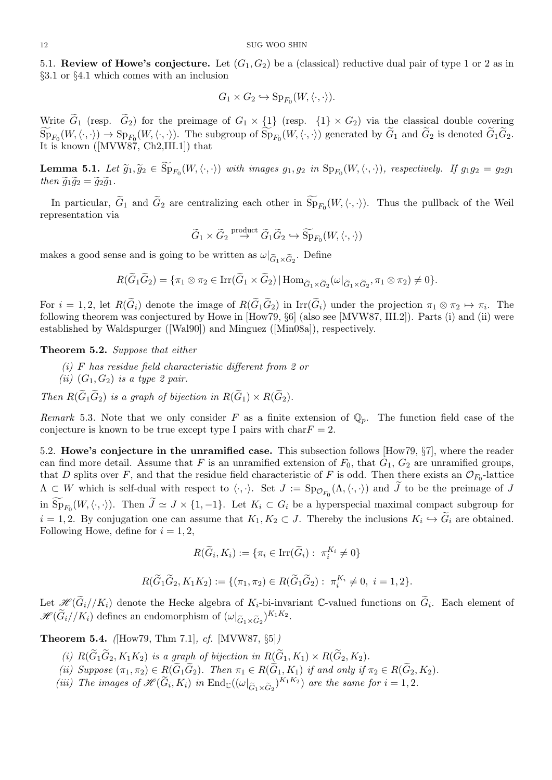5.1. Review of Howe's conjecture. Let  $(G_1, G_2)$  be a (classical) reductive dual pair of type 1 or 2 as in §3.1 or §4.1 which comes with an inclusion

$$
G_1 \times G_2 \hookrightarrow \mathrm{Sp}_{F_0}(W, \langle \cdot, \cdot \rangle).
$$

Write  $\tilde{G}_1$  (resp.  $\tilde{G}_2$ ) for the preimage of  $G_1 \times \{1\}$  (resp.  $\{1\} \times G_2$ ) via the classical double covering  $\text{Sp}_{F_0}(W,\langle \cdot, \cdot \rangle) \to \text{Sp}_{F_0}(W,\langle \cdot, \cdot \rangle)$ . The subgroup of  $\text{Sp}_{F_0}(W,\langle \cdot, \cdot \rangle)$  generated by  $G_1$  and  $G_2$  is denoted  $G_1G_2$ . It is known ([MVW87, Ch2,III.1]) that

**Lemma 5.1.** Let  $\widetilde{g}_1, \widetilde{g}_2 \in \text{Sp}_{F_0}(W, \langle \cdot, \cdot \rangle)$  with images  $g_1, g_2$  in  $\text{Sp}_{F_0}(W, \langle \cdot, \cdot \rangle)$ , respectively. If  $g_1g_2 = g_2g_1$ <br>then  $\widetilde{g}_1 \widetilde{g}_2 = \widetilde{g}_2 \widetilde{g}_1$ then  $\widetilde{g}_1\widetilde{g}_2 = \widetilde{g}_2\widetilde{g}_1$ .

In particular,  $G_1$  and  $G_2$  are centralizing each other in  $Sp_{F_0}(W,\langle\cdot,\cdot\rangle)$ . Thus the pullback of the Weil representation via

$$
\widetilde{G}_1 \times \widetilde{G}_2 \overset{\text{product}}{\rightarrow} \widetilde{G}_1 \widetilde{G}_2 \hookrightarrow \widetilde{\text{Sp}}_{F_0}(W, \langle \cdot, \cdot \rangle)
$$

makes a good sense and is going to be written as  $\omega|_{\widetilde{G}_1 \times \widetilde{G}_2}$ . Define

$$
R(\widetilde{G}_1\widetilde{G}_2)=\{\pi_1\otimes\pi_2\in\mathrm{Irr}(\widetilde{G}_1\times\widetilde{G}_2)\,|\,\mathrm{Hom}_{\widetilde{G}_1\times\widetilde{G}_2}(\omega|_{\widetilde{G}_1\times\widetilde{G}_2},\pi_1\otimes\pi_2)\neq 0\}.
$$

For  $i = 1, 2$ , let  $R(G_i)$  denote the image of  $R(G_1G_2)$  in  $\text{Irr}(G_i)$  under the projection  $\pi_1 \otimes \pi_2 \mapsto \pi_i$ . The following theorem was conjectured by Howe in [How79, §6] (also see [MVW87, III.2]). Parts (i) and (ii) were established by Waldspurger ([Wal90]) and Minguez ([Min08a]), respectively.

Theorem 5.2. Suppose that either

- (i) F has residue field characteristic different from 2 or (ii)  $(G_1, G_2)$  is a type 2 pair.
- Then  $R(\widetilde{G}_1\widetilde{G}_2)$  is a graph of bijection in  $R(\widetilde{G}_1) \times R(\widetilde{G}_2)$ .

Remark 5.3. Note that we only consider F as a finite extension of  $\mathbb{Q}_p$ . The function field case of the conjecture is known to be true except type I pairs with  $char F = 2$ .

5.2. Howe's conjecture in the unramified case. This subsection follows [How79, §7], where the reader can find more detail. Assume that F is an unramified extension of  $F_0$ , that  $G_1$ ,  $G_2$  are unramified groups, that D splits over F, and that the residue field characteristic of F is odd. Then there exists an  $\mathcal{O}_{F_0}$ -lattice  $\Lambda \subset W$  which is self-dual with respect to  $\langle \cdot, \cdot \rangle$ . Set  $J := \text{Sp}_{\mathcal{O}_{F_0}}(\Lambda, \langle \cdot, \cdot \rangle)$  and J to be the preimage of J in  $\text{Sp}_{F_0}(W,\langle\cdot,\cdot\rangle)$ . Then  $J \simeq J \times \{1,-1\}$ . Let  $K_i \subset G_i$  be a hyperspecial maximal compact subgroup for  $i = 1, 2$ . By conjugation one can assume that  $K_1, K_2 \subset J$ . Thereby the inclusions  $K_i \hookrightarrow G_i$  are obtained. Following Howe, define for  $i = 1, 2$ ,

$$
R(\widetilde{G}_i, K_i) := \{ \pi_i \in \text{Irr}(\widetilde{G}_i) : \ \pi_i^{K_i} \neq 0 \}
$$

$$
R(\widetilde{G}_1\widetilde{G}_2, K_1K_2) := \{ (\pi_1, \pi_2) \in R(\widetilde{G}_1\widetilde{G}_2) : \ \pi_i^{K_i} \neq 0, \ i = 1, 2 \}.
$$

Let  $\mathscr{H}(\widetilde{G}_i//K_i)$  denote the Hecke algebra of  $K_i$ -bi-invariant C-valued functions on  $\widetilde{G}_i$ . Each element of  $\mathscr{H}(\widetilde{G}_i//K_i)$  defines an endomorphism of  $(\omega|_{\widetilde{G}_1\times \widetilde{G}_2})^{K_1K_2}$ .

Theorem 5.4. ([How79, Thm 7.1], cf. [MVW87, §5])

- (i)  $R(\widetilde{G}_1\widetilde{G}_2, K_1K_2)$  is a graph of bijection in  $R(\widetilde{G}_1, K_1) \times R(\widetilde{G}_2, K_2)$ .
- (ii) Suppose  $(\pi_1, \pi_2) \in R(G_1G_2)$ . Then  $\pi_1 \in R(G_1, K_1)$  if and only if  $\pi_2 \in R(G_2, K_2)$ .
- (iii) The images of  $\mathscr{H}(\tilde{G}_i, K_i)$  in  $\text{End}_{\mathbb{C}}((\omega|_{\tilde{G}_1 \times \tilde{G}_2})^{K_1K_2})$  are the same for  $i = 1, 2$ .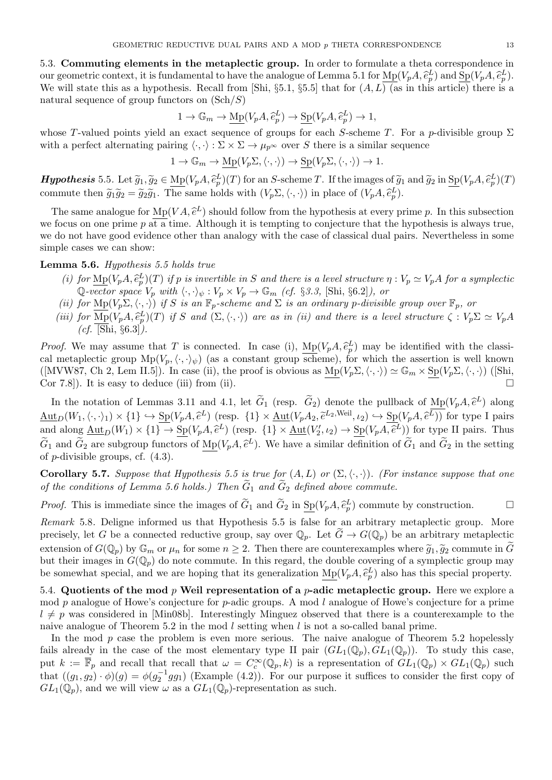5.3. Commuting elements in the metaplectic group. In order to formulate a theta correspondence in our geometric context, it is fundamental to have the analogue of Lemma 5.1 for  $\text{Mp}(V_pA, \tilde{e}_p^L)$  and  $\text{Sp}(V_pA, \tilde{e}_p^L)$ .<br>We will state this as a hypothesis. Becall from [Shi, 85, 1, 85, 5] that for  $(A, \overline{I})$  (as i We will state this as a hypothesis. Recall from [Shi, §5.1, §5.5] that for  $(A, L)$  (as in this article) there is a natural sequence of group functors on  $(\text{Sch}/S)$ 

$$
1 \to \mathbb{G}_m \to \underline{\mathrm{Mp}}(V_p A, \hat{e}_p^L) \to \underline{\mathrm{Sp}}(V_p A, \hat{e}_p^L) \to 1,
$$

whose T-valued points yield an exact sequence of groups for each S-scheme T. For a p-divisible group  $\Sigma$ with a perfect alternating pairing  $\langle \cdot, \cdot \rangle : \Sigma \times \Sigma \to \mu_{p^{\infty}}$  over S there is a similar sequence

$$
1 \to \mathbb{G}_m \to \underline{\mathrm{Mp}}(V_p \Sigma, \langle \cdot, \cdot \rangle) \to \underline{\mathrm{Sp}}(V_p \Sigma, \langle \cdot, \cdot \rangle) \to 1.
$$

**Hypothesis** 5.5. Let  $\widetilde{g}_1, \widetilde{g}_2 \in \text{Mp}(V_pA, \widetilde{e}_p^L)(T)$  for an S-scheme T. If the images of  $\widetilde{g}_1$  and  $\widetilde{g}_2$  in  $\text{Sp}(V_pA, \widetilde{e}_p^L)(T)$ commute then  $\tilde{g}_1 \tilde{g}_2 = \tilde{g}_2 \tilde{g}_1$ . The same holds with  $(V_p \Sigma, \langle \cdot, \cdot \rangle)$  in place of  $(V_p A, \tilde{e}_p^L)$ .

The same analogue for  $Mp(VA, \tilde{e}^L)$  should follow from the hypothesis at every prime p. In this subsection<br>the hypothesis is always true, the following the conjecture that the hypothesis is always true. we focus on one prime p at a time. Although it is tempting to conjecture that the hypothesis is always true, we do not have good evidence other than analogy with the case of classical dual pairs. Nevertheless in some simple cases we can show:

## Lemma 5.6. Hypothesis 5.5 holds true

- (i) for  $\text{Mp}(V_pA, \hat{e}_p^L)(T)$  if p is invertible in S and there is a level structure  $\eta : V_p \simeq V_pA$  for a symplectic  $\mathbb{Q}$  water energy  $V$  with  $\langle \cdot, \cdot \rangle_{\mathbb{Q}} \times V_p \times \mathbb{Q}$  (of  $S \circ \mathbb{Q}$  is it is all some  $\eta$ ) o Q-vector space  $V_p$  with  $\langle \cdot, \cdot \rangle_{\psi} : V_p \times V_p \to \mathbb{G}_m$  (cf. §3.3, [Shi, §6.2]), or
- (ii) for  $\underline{\mathrm{Mp}}(V_p\Sigma,\langle\cdot,\cdot\rangle)$  if S is an  $\mathbb{F}_p$ -scheme and  $\Sigma$  is an ordinary p-divisible group over  $\mathbb{F}_p$ , or
- (iii) for  $\text{Mp}(V_pA, \hat{e}_p^L)(T)$  if S and  $(\Sigma, \langle \cdot, \cdot \rangle)$  are as in (ii) and there is a level structure  $\zeta : V_p \Sigma \simeq V_pA$  $(cf.$  [Shi, §6.3]).

*Proof.* We may assume that T is connected. In case (i),  $\underline{\text{Mp}}(V_pA, \hat{e}_p^L)$  may be identified with the classi-<br>cal moteologie group  $\underline{\text{Mp}}(V \to \cdot)$  (or a constant group gehome) for which the esception is well know cal metaplectic group  $Mp(V_p,\langle\cdot,\cdot\rangle_\psi)$  (as a constant group scheme), for which the assertion is well known ([MVW87, Ch 2, Lem II.5]). In case (ii), the proof is obvious as  $Mp(V_p\Sigma,\langle\cdot,\cdot\rangle) \simeq \mathbb{G}_m \times Sp(V_p\Sigma,\langle\cdot,\cdot\rangle)$  ([Shi, Cor 7.8]). It is easy to deduce (iii) from (ii).  $\Box$ 

In the notation of Lemmas 3.11 and 4.1, let  $G_1$  (resp.  $G_2$ ) denote the pullback of  $M_p(V_pA, \hat{e}_p)$ <br>in  $(H_1 \leftrightarrow H_2)$  is  $S_p(V_A A, \hat{e}_p)$  (resp. 11) is  $\Lambda_{p+1}(V_A A, \hat{e}_p)$  is a  $\Lambda_{p+1}(V_A A, \hat{e}_p)$ ) for two In the notation of Lemmas 3.11 and 4.1, let  $\tilde{G}_1$  (resp.  $\tilde{G}_2$ ) denote the pullback of  $Mp(V_pA, \tilde{e}^L)$  along  $\underline{\mathrm{Aut}}_D(W_1,\langle\cdot,\cdot\rangle_1)\times\{1\}\hookrightarrow \underline{\mathrm{Sp}}(V_pA,\hat{e}^L)$  (resp.  $\{1\}\times\underline{\mathrm{Aut}}(V_pA_2,\hat{e}^{L_2,\text{Weil}},\iota_2)\hookrightarrow \underline{\mathrm{Sp}}(V_pA,\hat{e}^L)$ ) for type I pairs<br>and along Aut  $(W_1)\times\{1\}$ ,  $\mathrm{Sc}(V_A,\hat{e}^{L_1})$  (resp.  $\{1\}\times\mathrm{Aut}(V_{A_1})\times\mathrm$ and along  $\underline{\mathrm{Aut}}_D(W_1) \times \{1\} \to \underline{\mathrm{Sp}}(V_p A, \hat{e}^L)$  (resp.  $\{1\} \times \underline{\mathrm{Aut}}(V'_2, \iota_2) \to \underline{\mathrm{Sp}}(V_p A, \hat{e}^L)$ ) for type II pairs. Thus  $\widetilde{\approx}$  $\widetilde{G}_1$  and  $\widetilde{G}_2$  are subgroup functors of  $\underline{\mathrm{Mp}}(V_pA, \widehat{e}^L)$ . We have a similar definition of  $\widetilde{G}_1$  and  $\widetilde{G}_2$  in the setting of a divisible groups of  $(A, 2)$ of *p*-divisible groups, cf.  $(4.3)$ .

**Corollary 5.7.** Suppose that Hypothesis 5.5 is true for  $(A, L)$  or  $(\Sigma, \langle \cdot, \cdot \rangle)$ . (For instance suppose that one of the conditions of Lemma 5.6 holds.) Then  $\widetilde{G}_1$  and  $\widetilde{G}_2$  defined above commute.

*Proof.* This is immediate since the images of  $\tilde{G}_1$  and  $\tilde{G}_2$  in  $\underline{\mathrm{Sp}}(V_pA, \tilde{e}_p^L)$  commute by construction.

Remark 5.8. Deligne informed us that Hypothesis 5.5 is false for an arbitrary metaplectic group. More precisely, let G be a connected reductive group, say over  $\mathbb{Q}_p$ . Let  $\tilde{G} \to G(\mathbb{Q}_p)$  be an arbitrary metaplectic extension of  $G(\mathbb{Q}_p)$  by  $\mathbb{G}_m$  or  $\mu_n$  for some  $n \geq 2$ . Then there are counterexamples where  $\widetilde{g}_1, \widetilde{g}_2$  commute in  $\widetilde{G}$ but their images in  $G(\mathbb{Q}_p)$  do note commute. In this regard, the double covering of a symplectic group may be somewhat special, and we are hoping that its generalization  $\underline{\mathrm{Mp}}(V_pA, \hat{e}_p^L)$  also has this special property.

5.4. Quotients of the mod  $p$  Weil representation of a  $p$ -adic metaplectic group. Here we explore a mod p analogue of Howe's conjecture for p-adic groups. A mod l analogue of Howe's conjecture for a prime  $l \neq p$  was considered in [Min08b]. Interestingly Minguez observed that there is a counterexample to the naive analogue of Theorem 5.2 in the mod  $l$  setting when  $l$  is not a so-called banal prime.

In the mod  $p$  case the problem is even more serious. The naive analogue of Theorem 5.2 hopelessly fails already in the case of the most elementary type II pair  $(GL_1(\mathbb{Q}_p), GL_1(\mathbb{Q}_p))$ . To study this case, put  $k := \overline{\mathbb{F}}_p$  and recall that recall that  $\omega = C_c^{\infty}(\mathbb{Q}_p, k)$  is a representation of  $GL_1(\mathbb{Q}_p) \times GL_1(\mathbb{Q}_p)$  such that  $((g_1, g_2) \cdot \phi)(g) = \phi(g_2^{-1}gg_1)$  (Example (4.2)). For our purpose it suffices to consider the first copy of  $GL_1(\mathbb{Q}_p)$ , and we will view  $\omega$  as a  $GL_1(\mathbb{Q}_p)$ -representation as such.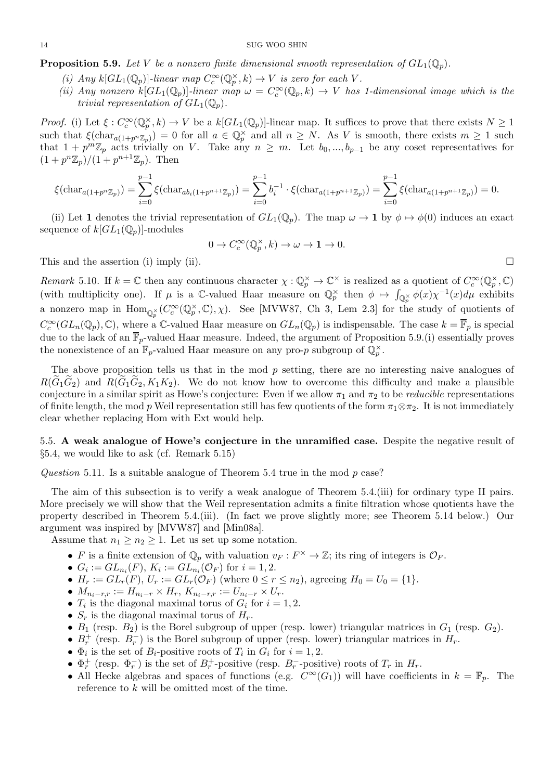**Proposition 5.9.** Let V be a nonzero finite dimensional smooth representation of  $GL_1(\mathbb{Q}_p)$ .

- (i) Any  $k[GL_1(\mathbb{Q}_p)]$ -linear map  $C_c^{\infty}(\mathbb{Q}_p^{\times}, k) \to V$  is zero for each V.
- (ii) Any nonzero  $k[GL_1(\mathbb{Q}_p)]$ -linear map  $\omega = C_c^{\infty}(\mathbb{Q}_p, k) \to V$  has 1-dimensional image which is the trivial representation of  $GL_1(\mathbb{Q}_p)$ .

Proof. (i) Let  $\xi: C_c^{\infty}(\mathbb{Q}_p^{\times}, k) \to V$  be a  $k[GL_1(\mathbb{Q}_p)]$ -linear map. It suffices to prove that there exists  $N \geq 1$ such that  $\xi(\text{char}_{a(1+p^n\mathbb{Z}_p)})=0$  for all  $a \in \mathbb{Q}_p^{\times}$  and all  $n \geq N$ . As V is smooth, there exists  $m \geq 1$  such that  $1 + p^m \mathbb{Z}_p$  acts trivially on V. Take any  $n \geq m$ . Let  $b_0, ..., b_{p-1}$  be any coset representatives for  $(1+p^n\mathbb{Z}_p)/(1+p^{n+1}\mathbb{Z}_p)$ . Then

$$
\xi(\text{char}_{a(1+p^n\mathbb{Z}_p)}) = \sum_{i=0}^{p-1} \xi(\text{char}_{ab_i(1+p^{n+1}\mathbb{Z}_p)}) = \sum_{i=0}^{p-1} b_i^{-1} \cdot \xi(\text{char}_{a(1+p^{n+1}\mathbb{Z}_p)}) = \sum_{i=0}^{p-1} \xi(\text{char}_{a(1+p^{n+1}\mathbb{Z}_p)}) = 0.
$$

(ii) Let 1 denotes the trivial representation of  $GL_1(\mathbb{Q}_p)$ . The map  $\omega \to 1$  by  $\phi \mapsto \phi(0)$  induces an exact sequence of  $k[GL_1(\mathbb{Q}_p)]$ -modules

$$
0\to C_c^\infty(\mathbb{Q}_p^\times,k)\to\omega\to\mathbf{1}\to0.
$$

This and the assertion (i) imply (ii).  $\Box$ 

Remark 5.10. If  $k = \mathbb{C}$  then any continuous character  $\chi : \mathbb{Q}_p^{\times} \to \mathbb{C}^{\times}$  is realized as a quotient of  $C_c^{\infty}(\mathbb{Q}_p^{\times}, \mathbb{C})$ (with multiplicity one). If  $\mu$  is a C-valued Haar measure on  $\mathbb{Q}_p^{\times}$  then  $\phi \mapsto \int_{\mathbb{Q}_p^{\times}} \phi(x) \chi^{-1}(x) d\mu$  exhibits a nonzero map in  $\text{Hom}_{\mathbb{Q}_p^{\times}}(C_c^{\infty}(\mathbb{Q}_p^{\times}, \mathbb{C}), \chi)$ . See [MVW87, Ch 3, Lem 2.3] for the study of quotients of  $C_c^{\infty}(GL_n(\mathbb{Q}_p),\mathbb{C}),$  where a C-valued Haar measure on  $GL_n(\mathbb{Q}_p)$  is indispensable. The case  $k=\overline{\mathbb{F}}_p$  is special due to the lack of an  $\overline{\mathbb{F}}_p$ -valued Haar measure. Indeed, the argument of Proposition 5.9.(i) essentially proves the nonexistence of an  $\overline{\mathbb{F}}_p$ -valued Haar measure on any pro-*p* subgroup of  $\mathbb{Q}_p^{\times}$ .

The above proposition tells us that in the mod  $p$  setting, there are no interesting naive analogues of  $R(G_1G_2)$  and  $R(G_1G_2, K_1K_2)$ . We do not know how to overcome this difficulty and make a plausible conjecture in a similar spirit as Howe's conjecture: Even if we allow  $\pi_1$  and  $\pi_2$  to be *reducible* representations of finite length, the mod p Weil representation still has few quotients of the form  $\pi_1 \otimes \pi_2$ . It is not immediately clear whether replacing Hom with Ext would help.

5.5. A weak analogue of Howe's conjecture in the unramified case. Despite the negative result of §5.4, we would like to ask (cf. Remark 5.15)

Question 5.11. Is a suitable analogue of Theorem 5.4 true in the mod p case?

The aim of this subsection is to verify a weak analogue of Theorem 5.4.(iii) for ordinary type II pairs. More precisely we will show that the Weil representation admits a finite filtration whose quotients have the property described in Theorem 5.4.(iii). (In fact we prove slightly more; see Theorem 5.14 below.) Our argument was inspired by [MVW87] and [Min08a].

Assume that  $n_1 \geq n_2 \geq 1$ . Let us set up some notation.

- F is a finite extension of  $\mathbb{Q}_p$  with valuation  $v_F : F^\times \to \mathbb{Z}$ ; its ring of integers is  $\mathcal{O}_F$ .
- $G_i := GL_{n_i}(F)$ ,  $K_i := GL_{n_i}(\mathcal{O}_F)$  for  $i = 1, 2$ .
- $H_r := GL_r(F)$ ,  $U_r := GL_r(\mathcal{O}_F)$  (where  $0 \le r \le n_2$ ), agreeing  $H_0 = U_0 = \{1\}$ .
- $M_{n_i-r,r} := H_{n_i-r} \times H_r, K_{n_i-r,r} := U_{n_i-r} \times U_r.$
- $T_i$  is the diagonal maximal torus of  $G_i$  for  $i = 1, 2$ .
- $S_r$  is the diagonal maximal torus of  $H_r$ .
- $B_1$  (resp.  $B_2$ ) is the Borel subgroup of upper (resp. lower) triangular matrices in  $G_1$  (resp.  $G_2$ ).
- $B_r^+$  (resp.  $B_r^-$ ) is the Borel subgroup of upper (resp. lower) triangular matrices in  $H_r$ .
- $\Phi_i$  is the set of  $B_i$ -positive roots of  $T_i$  in  $G_i$  for  $i = 1, 2$ .
- $\Phi_r^+$  (resp.  $\Phi_r^-$ ) is the set of  $B_r^+$ -positive (resp.  $B_r^-$ -positive) roots of  $T_r$  in  $H_r$ .
- All Hecke algebras and spaces of functions (e.g.  $C^{\infty}(G_1)$ ) will have coefficients in  $k = \overline{\mathbb{F}}_p$ . The reference to k will be omitted most of the time.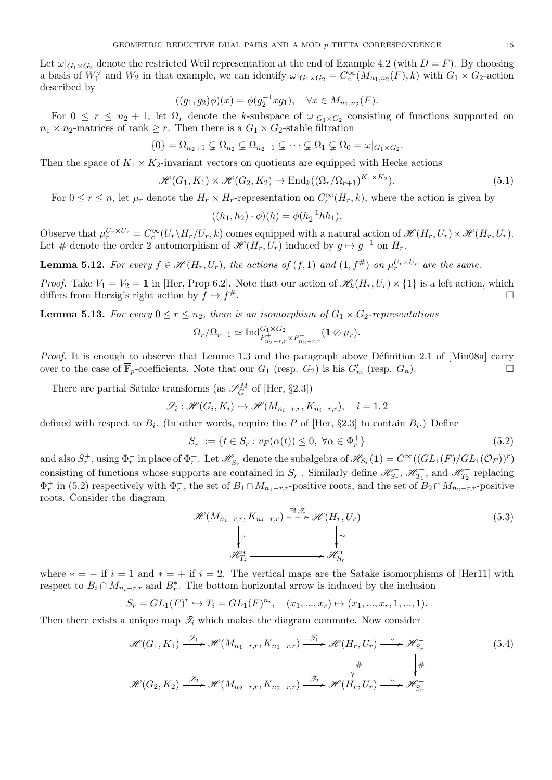Let  $\omega|_{G_1\times G_2}$  denote the restricted Weil representation at the end of Example 4.2 (with  $D = F$ ). By choosing a basis of  $W_1^{\vee}$  and  $W_2$  in that example, we can identify  $\omega|_{G_1 \times G_2} = C_c^{\infty}(M_{n_1,n_2}(F), k)$  with  $G_1 \times G_2$ -action described by

$$
((g_1, g_2)\phi)(x) = \phi(g_2^{-1}xg_1), \quad \forall x \in M_{n_1, n_2}(F).
$$

For  $0 \leq r \leq n_2 + 1$ , let  $\Omega_r$  denote the k-subspace of  $\omega|_{G_1 \times G_2}$  consisting of functions supported on  $n_1 \times n_2$ -matrices of rank  $\geq r$ . Then there is a  $G_1 \times G_2$ -stable filtration

$$
\{0\} = \Omega_{n_2+1} \subsetneq \Omega_{n_2} \subsetneq \Omega_{n_2-1} \subsetneq \cdots \subsetneq \Omega_1 \subsetneq \Omega_0 = \omega|_{G_1 \times G_2}.
$$

Then the space of  $K_1 \times K_2$ -invariant vectors on quotients are equipped with Hecke actions

$$
\mathcal{H}(G_1, K_1) \times \mathcal{H}(G_2, K_2) \to \text{End}_k((\Omega_r/\Omega_{r+1})^{K_1 \times K_2}).
$$
\n
$$
(5.1)
$$

For  $0 \le r \le n$ , let  $\mu_r$  denote the  $H_r \times H_r$ -representation on  $C_c^{\infty}(H_r, k)$ , where the action is given by

$$
((h_1, h_2) \cdot \phi)(h) = \phi(h_2^{-1}hh_1).
$$

Observe that  $\mu_r^{U_r \times U_r} = C_c^{\infty}(U_r \backslash H_r / U_r, k)$  comes equipped with a natural action of  $\mathscr{H}(H_r, U_r) \times \mathscr{H}(H_r, U_r)$ . Let # denote the order 2 automorphism of  $\mathcal{H}(H_r, U_r)$  induced by  $g \mapsto g^{-1}$  on  $H_r$ .

**Lemma 5.12.** For every  $f \in \mathcal{H}(H_r, U_r)$ , the actions of  $(f, 1)$  and  $(1, f^{\#})$  on  $\mu_r^{U_r \times U_r}$  are the same.

*Proof.* Take  $V_1 = V_2 = 1$  in [Her, Prop 6.2]. Note that our action of  $\mathcal{H}_k(H_r, U_r) \times \{1\}$  is a left action, which differs from Herzig's right action by  $f \mapsto f^{\#}$ .  $\#$ .

**Lemma 5.13.** For every  $0 \le r \le n_2$ , there is an isomorphism of  $G_1 \times G_2$ -representations

$$
\Omega_r/\Omega_{r+1} \simeq \mathrm{Ind}_{P_{n_2-r,r}^+ \times P_{n_2-r,r}^-}^{G_1 \times G_2} (\mathbf{1} \otimes \mu_r).
$$

*Proof.* It is enough to observe that Lemme 1.3 and the paragraph above Définition 2.1 of [Min08a] carry over to the case of  $\overline{\mathbb{F}}_p$ -coefficients. Note that our  $G_1$  (resp.  $G_2$ ) is his  $G'_m$  (resp.  $G_n$ ).

There are partial Satake transforms (as  $\mathscr{S}_{G}^{M}$  of [Her, §2.3])

$$
\mathcal{S}_i : \mathcal{H}(G_i, K_i) \hookrightarrow \mathcal{H}(M_{n_i-r,r}, K_{n_i-r,r}), \quad i = 1, 2
$$

defined with respect to  $B_i$ . (In other words, require the P of [Her, §2.3] to contain  $B_i$ .) Define

$$
S_r^- := \{ t \in S_r : v_F(\alpha(t)) \le 0, \ \forall \alpha \in \Phi_r^+ \}
$$
\n(5.2)

and also  $S_r^+$ , using  $\Phi_r^-$  in place of  $\Phi_r^+$ . Let  $\mathscr{H}_{S_r}^-$  denote the subalgebra of  $\mathscr{H}_{S_r}(1) = C^\infty((GL_1(F)/GL_1(\mathcal{O}_F))^r)$ consisting of functions whose supports are contained in  $S_r^-$ . Similarly define  $\mathscr{H}_{S_r}^+$ ,  $\mathscr{H}_{T_1}^-$ , and  $\mathscr{H}_{T_2}^+$  replacing  $\Phi_r^+$  in (5.2) respectively with  $\Phi_r^-$ , the set of  $B_1 \cap M_{n_1-r,r}$ -positive roots, and the set of  $B_2 \cap M_{n_2-r,r}$ -positive roots. Consider the diagram

$$
\mathcal{H}(M_{n_i-r,r}, K_{n_i-r,r}) \xrightarrow{\exists ! \mathcal{F}_i} \mathcal{H}(H_r, U_r)
$$
\n
$$
\downarrow \sim \qquad \qquad \downarrow \sim
$$
\n
$$
\mathcal{H}_{T_i}^* \xrightarrow{\qquad \qquad \downarrow} \mathcal{H}_{S_r}^*
$$
\n
$$
(5.3)
$$

where  $* = -$  if  $i = 1$  and  $* = +$  if  $i = 2$ . The vertical maps are the Satake isomorphisms of [Her11] with respect to  $B_i \cap M_{n_i-r,r}$  and  $B_r^*$ . The bottom horizontal arrow is induced by the inclusion

$$
S_r = GL_1(F)^r \hookrightarrow T_i = GL_1(F)^{n_i}, \quad (x_1, ..., x_r) \mapsto (x_1, ..., x_r, 1, ..., 1).
$$

Then there exists a unique map  $\mathcal{T}_i$  which makes the diagram commute. Now consider

$$
\mathcal{H}(G_1, K_1) \xrightarrow{\mathcal{S}_1} \mathcal{H}(M_{n_1-r,r}, K_{n_1-r,r}) \xrightarrow{\mathcal{J}_1} \mathcal{H}(H_r, U_r) \xrightarrow{\sim} \mathcal{H}_{S_r}^{-}
$$
\n
$$
\downarrow^{\#} \qquad \qquad \downarrow^{\#}
$$
\n
$$
\mathcal{H}(G_2, K_2) \xrightarrow{\mathcal{S}_2} \mathcal{H}(M_{n_2-r,r}, K_{n_2-r,r}) \xrightarrow{\mathcal{J}_2} \mathcal{H}(H_r, U_r) \xrightarrow{\sim} \mathcal{H}_{S_r}^{+}
$$
\n
$$
(5.4)
$$